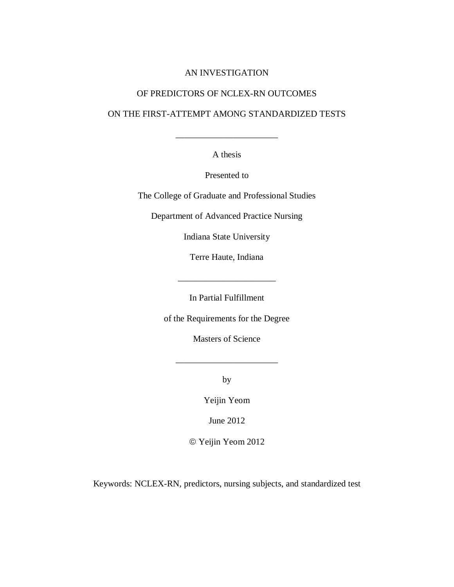## AN INVESTIGATION

# OF PREDICTORS OF NCLEX-RN OUTCOMES

# ON THE FIRST-ATTEMPT AMONG STANDARDIZED TESTS

\_\_\_\_\_\_\_\_\_\_\_\_\_\_\_\_\_\_\_\_\_\_\_

A thesis

Presented to

The College of Graduate and Professional Studies

Department of Advanced Practice Nursing

Indiana State University

Terre Haute, Indiana

\_\_\_\_\_\_\_\_\_\_\_\_\_\_\_\_\_\_\_\_\_\_

In Partial Fulfillment

of the Requirements for the Degree

Masters of Science

\_\_\_\_\_\_\_\_\_\_\_\_\_\_\_\_\_\_\_\_\_\_\_

by

Yeijin Yeom

June 2012

Yeijin Yeom 2012

Keywords: NCLEX-RN, predictors, nursing subjects, and standardized test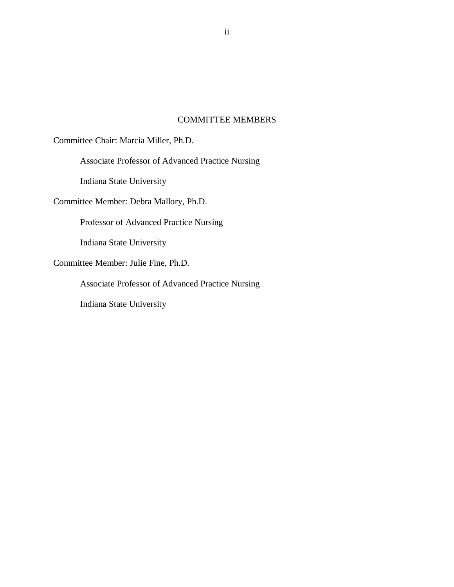## COMMITTEE MEMBERS

Committee Chair: Marcia Miller, Ph.D.

Associate Professor of Advanced Practice Nursing

Indiana State University

Committee Member: Debra Mallory, Ph.D.

Professor of Advanced Practice Nursing

Indiana State University

Committee Member: Julie Fine, Ph.D.

Associate Professor of Advanced Practice Nursing

Indiana State University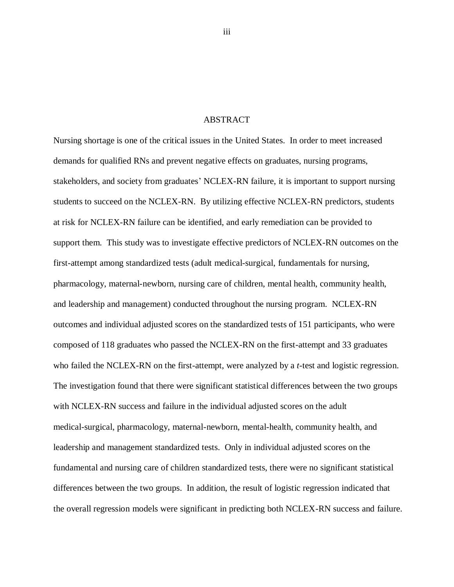#### ABSTRACT

<span id="page-2-0"></span>Nursing shortage is one of the critical issues in the United States. In order to meet increased demands for qualified RNs and prevent negative effects on graduates, nursing programs, stakeholders, and society from graduates' NCLEX-RN failure, it is important to support nursing students to succeed on the NCLEX-RN. By utilizing effective NCLEX-RN predictors, students at risk for NCLEX-RN failure can be identified, and early remediation can be provided to support them. This study was to investigate effective predictors of NCLEX-RN outcomes on the first-attempt among standardized tests (adult medical-surgical, fundamentals for nursing, pharmacology, maternal-newborn, nursing care of children, mental health, community health, and leadership and management) conducted throughout the nursing program. NCLEX-RN outcomes and individual adjusted scores on the standardized tests of 151 participants, who were composed of 118 graduates who passed the NCLEX-RN on the first-attempt and 33 graduates who failed the NCLEX-RN on the first-attempt, were analyzed by a *t*-test and logistic regression. The investigation found that there were significant statistical differences between the two groups with NCLEX-RN success and failure in the individual adjusted scores on the adult medical-surgical, pharmacology, maternal-newborn, mental-health, community health, and leadership and management standardized tests. Only in individual adjusted scores on the fundamental and nursing care of children standardized tests, there were no significant statistical differences between the two groups. In addition, the result of logistic regression indicated that the overall regression models were significant in predicting both NCLEX-RN success and failure.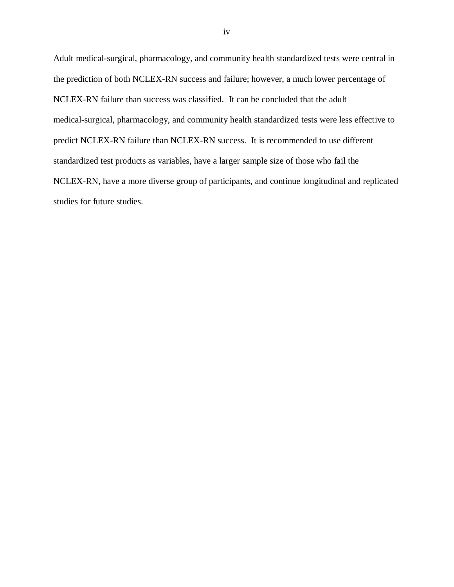Adult medical-surgical, pharmacology, and community health standardized tests were central in the prediction of both NCLEX-RN success and failure; however, a much lower percentage of NCLEX-RN failure than success was classified. It can be concluded that the adult medical-surgical, pharmacology, and community health standardized tests were less effective to predict NCLEX-RN failure than NCLEX-RN success. It is recommended to use different standardized test products as variables, have a larger sample size of those who fail the NCLEX-RN, have a more diverse group of participants, and continue longitudinal and replicated studies for future studies.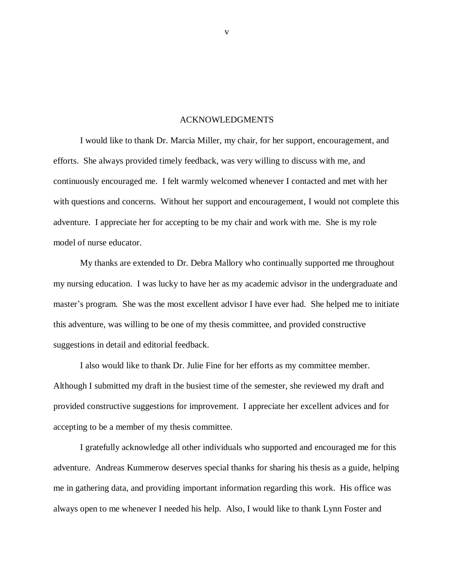## ACKNOWLEDGMENTS

<span id="page-4-0"></span>I would like to thank Dr. Marcia Miller, my chair, for her support, encouragement, and efforts. She always provided timely feedback, was very willing to discuss with me, and continuously encouraged me. I felt warmly welcomed whenever I contacted and met with her with questions and concerns. Without her support and encouragement, I would not complete this adventure. I appreciate her for accepting to be my chair and work with me. She is my role model of nurse educator.

My thanks are extended to Dr. Debra Mallory who continually supported me throughout my nursing education. I was lucky to have her as my academic advisor in the undergraduate and master's program. She was the most excellent advisor I have ever had. She helped me to initiate this adventure, was willing to be one of my thesis committee, and provided constructive suggestions in detail and editorial feedback.

I also would like to thank Dr. Julie Fine for her efforts as my committee member. Although I submitted my draft in the busiest time of the semester, she reviewed my draft and provided constructive suggestions for improvement. I appreciate her excellent advices and for accepting to be a member of my thesis committee.

I gratefully acknowledge all other individuals who supported and encouraged me for this adventure. Andreas Kummerow deserves special thanks for sharing his thesis as a guide, helping me in gathering data, and providing important information regarding this work. His office was always open to me whenever I needed his help. Also, I would like to thank Lynn Foster and

v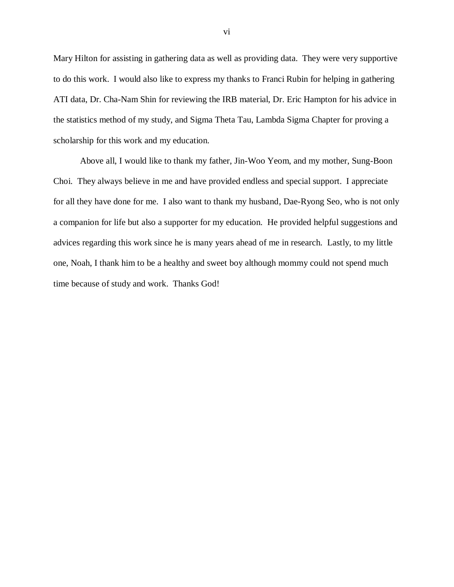Mary Hilton for assisting in gathering data as well as providing data. They were very supportive to do this work. I would also like to express my thanks to Franci Rubin for helping in gathering ATI data, Dr. Cha-Nam Shin for reviewing the IRB material, Dr. Eric Hampton for his advice in the statistics method of my study, and Sigma Theta Tau, Lambda Sigma Chapter for proving a scholarship for this work and my education.

Above all, I would like to thank my father, Jin-Woo Yeom, and my mother, Sung-Boon Choi. They always believe in me and have provided endless and special support. I appreciate for all they have done for me. I also want to thank my husband, Dae-Ryong Seo, who is not only a companion for life but also a supporter for my education. He provided helpful suggestions and advices regarding this work since he is many years ahead of me in research. Lastly, to my little one, Noah, I thank him to be a healthy and sweet boy although mommy could not spend much time because of study and work. Thanks God!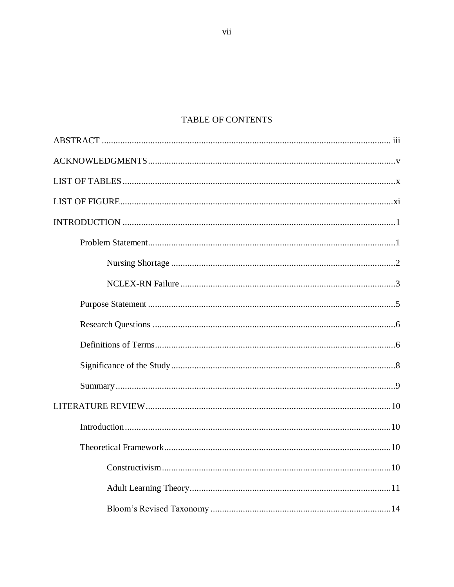# TABLE OF CONTENTS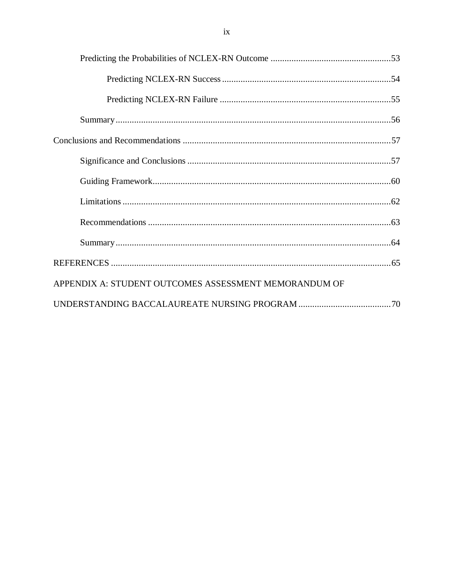| APPENDIX A: STUDENT OUTCOMES ASSESSMENT MEMORANDUM OF |
|-------------------------------------------------------|
|                                                       |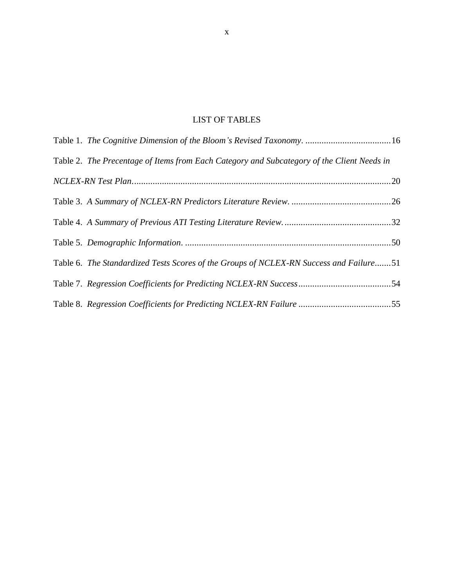# LIST OF TABLES

<span id="page-9-0"></span>

| Table 1. The Cognitive Dimension of the Bloom's Revised Taxonomy. 16                       |  |
|--------------------------------------------------------------------------------------------|--|
| Table 2. The Precentage of Items from Each Category and Subcategory of the Client Needs in |  |
|                                                                                            |  |
|                                                                                            |  |
|                                                                                            |  |
|                                                                                            |  |
| Table 6. The Standardized Tests Scores of the Groups of NCLEX-RN Success and Failure51     |  |
|                                                                                            |  |
|                                                                                            |  |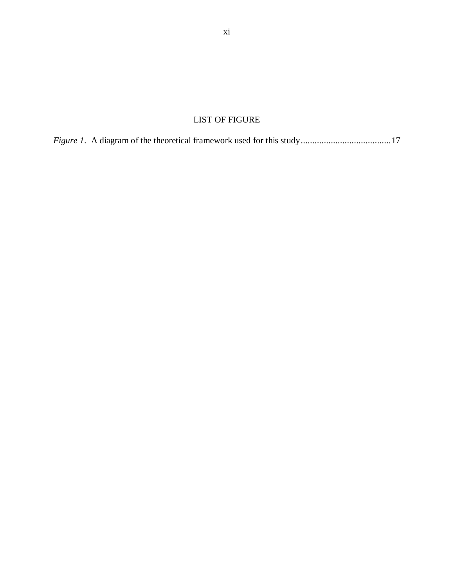# LIST OF FIGURE

<span id="page-10-0"></span>*Figure 1*. A diagram of the theoretical framework used for this study.......................................17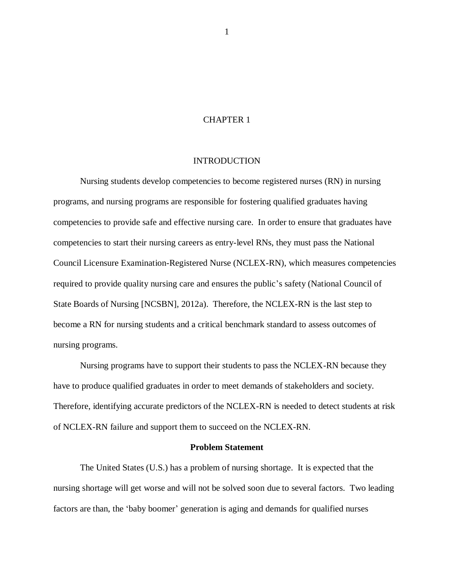## CHAPTER 1

## **INTRODUCTION**

<span id="page-11-0"></span>Nursing students develop competencies to become registered nurses (RN) in nursing programs, and nursing programs are responsible for fostering qualified graduates having competencies to provide safe and effective nursing care. In order to ensure that graduates have competencies to start their nursing careers as entry-level RNs, they must pass the National Council Licensure Examination-Registered Nurse (NCLEX-RN), which measures competencies required to provide quality nursing care and ensures the public's safety (National Council of State Boards of Nursing [NCSBN], 2012a). Therefore, the NCLEX-RN is the last step to become a RN for nursing students and a critical benchmark standard to assess outcomes of nursing programs.

Nursing programs have to support their students to pass the NCLEX-RN because they have to produce qualified graduates in order to meet demands of stakeholders and society. Therefore, identifying accurate predictors of the NCLEX-RN is needed to detect students at risk of NCLEX-RN failure and support them to succeed on the NCLEX-RN.

## **Problem Statement**

<span id="page-11-1"></span>The United States (U.S.) has a problem of nursing shortage. It is expected that the nursing shortage will get worse and will not be solved soon due to several factors. Two leading factors are than, the 'baby boomer' generation is aging and demands for qualified nurses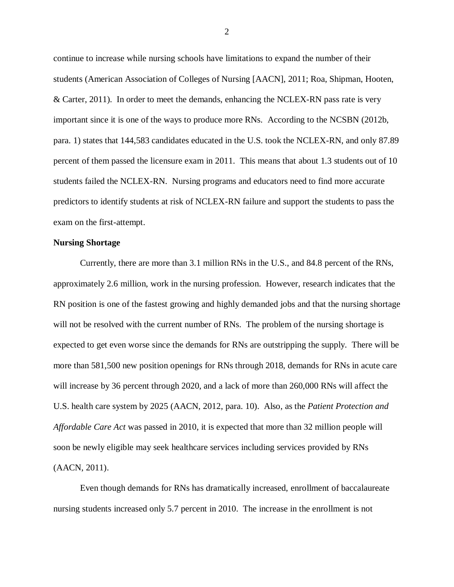continue to increase while nursing schools have limitations to expand the number of their students (American Association of Colleges of Nursing [AACN], 2011; Roa, Shipman, Hooten, & Carter, 2011). In order to meet the demands, enhancing the NCLEX-RN pass rate is very important since it is one of the ways to produce more RNs. According to the NCSBN (2012b, para. 1) states that 144,583 candidates educated in the U.S. took the NCLEX-RN, and only 87.89 percent of them passed the licensure exam in 2011. This means that about 1.3 students out of 10 students failed the NCLEX-RN. Nursing programs and educators need to find more accurate predictors to identify students at risk of NCLEX-RN failure and support the students to pass the exam on the first-attempt.

#### <span id="page-12-0"></span>**Nursing Shortage**

Currently, there are more than 3.1 million RNs in the U.S., and 84.8 percent of the RNs, approximately 2.6 million, work in the nursing profession. However, research indicates that the RN position is one of the fastest growing and highly demanded jobs and that the nursing shortage will not be resolved with the current number of RNs. The problem of the nursing shortage is expected to get even worse since the demands for RNs are outstripping the supply. There will be more than 581,500 new position openings for RNs through 2018, demands for RNs in acute care will increase by 36 percent through 2020, and a lack of more than 260,000 RNs will affect the U.S. health care system by 2025 (AACN, 2012, para. 10). Also, as the *Patient Protection and Affordable Care Act* was passed in 2010, it is expected that more than 32 million people will soon be newly eligible may seek healthcare services including services provided by RNs (AACN, 2011).

Even though demands for RNs has dramatically increased, enrollment of baccalaureate nursing students increased only 5.7 percent in 2010. The increase in the enrollment is not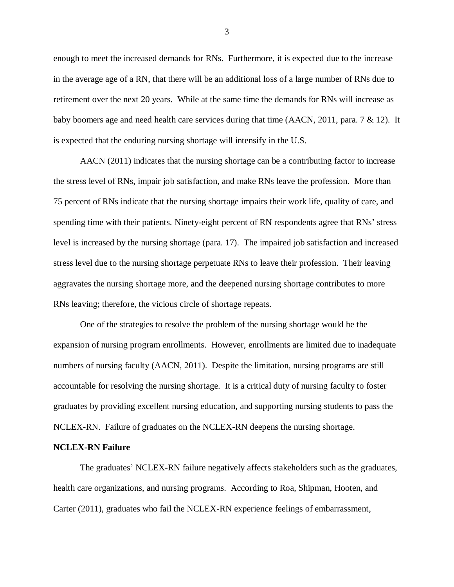enough to meet the increased demands for RNs. Furthermore, it is expected due to the increase in the average age of a RN, that there will be an additional loss of a large number of RNs due to retirement over the next 20 years. While at the same time the demands for RNs will increase as baby boomers age and need health care services during that time (AACN, 2011, para. 7 & 12). It is expected that the enduring nursing shortage will intensify in the U.S.

AACN (2011) indicates that the nursing shortage can be a contributing factor to increase the stress level of RNs, impair job satisfaction, and make RNs leave the profession. More than 75 percent of RNs indicate that the nursing shortage impairs their work life, quality of care, and spending time with their patients. Ninety-eight percent of RN respondents agree that RNs' stress level is increased by the nursing shortage (para. 17). The impaired job satisfaction and increased stress level due to the nursing shortage perpetuate RNs to leave their profession. Their leaving aggravates the nursing shortage more, and the deepened nursing shortage contributes to more RNs leaving; therefore, the vicious circle of shortage repeats.

One of the strategies to resolve the problem of the nursing shortage would be the expansion of nursing program enrollments. However, enrollments are limited due to inadequate numbers of nursing faculty (AACN, 2011). Despite the limitation, nursing programs are still accountable for resolving the nursing shortage. It is a critical duty of nursing faculty to foster graduates by providing excellent nursing education, and supporting nursing students to pass the NCLEX-RN. Failure of graduates on the NCLEX-RN deepens the nursing shortage.

#### <span id="page-13-0"></span>**NCLEX-RN Failure**

The graduates' NCLEX-RN failure negatively affects stakeholders such as the graduates, health care organizations, and nursing programs. According to Roa, Shipman, Hooten, and Carter (2011), graduates who fail the NCLEX-RN experience feelings of embarrassment,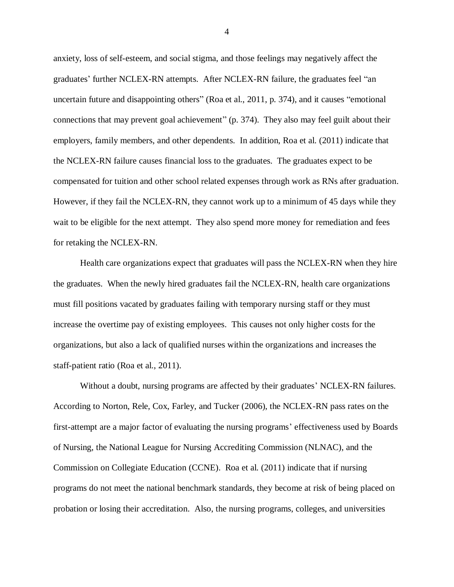anxiety, loss of self-esteem, and social stigma, and those feelings may negatively affect the graduates' further NCLEX-RN attempts. After NCLEX-RN failure, the graduates feel "an uncertain future and disappointing others" (Roa et al., 2011, p. 374), and it causes "emotional connections that may prevent goal achievement" (p. 374). They also may feel guilt about their employers, family members, and other dependents. In addition, Roa et al. (2011) indicate that the NCLEX-RN failure causes financial loss to the graduates. The graduates expect to be compensated for tuition and other school related expenses through work as RNs after graduation. However, if they fail the NCLEX-RN, they cannot work up to a minimum of 45 days while they wait to be eligible for the next attempt. They also spend more money for remediation and fees for retaking the NCLEX-RN.

Health care organizations expect that graduates will pass the NCLEX-RN when they hire the graduates. When the newly hired graduates fail the NCLEX-RN, health care organizations must fill positions vacated by graduates failing with temporary nursing staff or they must increase the overtime pay of existing employees. This causes not only higher costs for the organizations, but also a lack of qualified nurses within the organizations and increases the staff-patient ratio (Roa et al., 2011).

Without a doubt, nursing programs are affected by their graduates' NCLEX-RN failures. According to Norton, Rele, Cox, Farley, and Tucker (2006), the NCLEX-RN pass rates on the first-attempt are a major factor of evaluating the nursing programs' effectiveness used by Boards of Nursing, the National League for Nursing Accrediting Commission (NLNAC), and the Commission on Collegiate Education (CCNE). Roa et al. (2011) indicate that if nursing programs do not meet the national benchmark standards, they become at risk of being placed on probation or losing their accreditation. Also, the nursing programs, colleges, and universities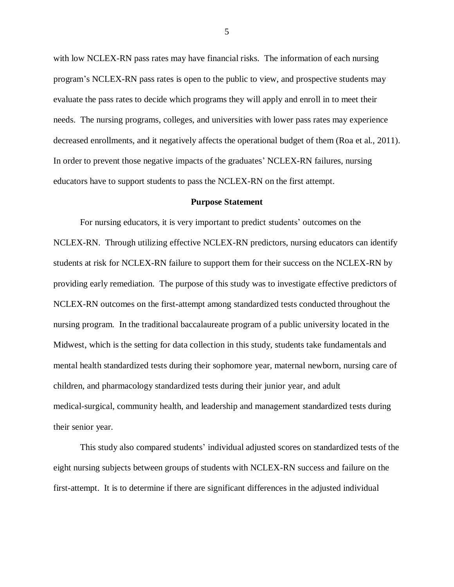with low NCLEX-RN pass rates may have financial risks. The information of each nursing program's NCLEX-RN pass rates is open to the public to view, and prospective students may evaluate the pass rates to decide which programs they will apply and enroll in to meet their needs. The nursing programs, colleges, and universities with lower pass rates may experience decreased enrollments, and it negatively affects the operational budget of them (Roa et al., 2011). In order to prevent those negative impacts of the graduates' NCLEX-RN failures, nursing educators have to support students to pass the NCLEX-RN on the first attempt.

#### **Purpose Statement**

<span id="page-15-0"></span>For nursing educators, it is very important to predict students' outcomes on the NCLEX-RN. Through utilizing effective NCLEX-RN predictors, nursing educators can identify students at risk for NCLEX-RN failure to support them for their success on the NCLEX-RN by providing early remediation. The purpose of this study was to investigate effective predictors of NCLEX-RN outcomes on the first-attempt among standardized tests conducted throughout the nursing program. In the traditional baccalaureate program of a public university located in the Midwest, which is the setting for data collection in this study, students take fundamentals and mental health standardized tests during their sophomore year, maternal newborn, nursing care of children, and pharmacology standardized tests during their junior year, and adult medical-surgical, community health, and leadership and management standardized tests during their senior year.

This study also compared students' individual adjusted scores on standardized tests of the eight nursing subjects between groups of students with NCLEX-RN success and failure on the first-attempt. It is to determine if there are significant differences in the adjusted individual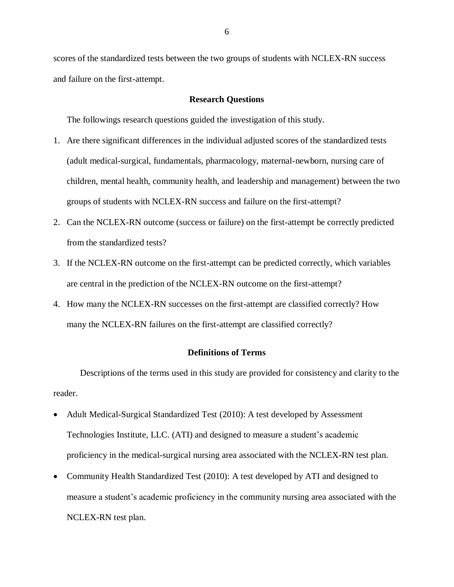scores of the standardized tests between the two groups of students with NCLEX-RN success and failure on the first-attempt.

## **Research Questions**

<span id="page-16-0"></span>The followings research questions guided the investigation of this study.

- 1. Are there significant differences in the individual adjusted scores of the standardized tests (adult medical-surgical, fundamentals, pharmacology, maternal-newborn, nursing care of children, mental health, community health, and leadership and management) between the two groups of students with NCLEX-RN success and failure on the first-attempt?
- 2. Can the NCLEX-RN outcome (success or failure) on the first-attempt be correctly predicted from the standardized tests?
- 3. If the NCLEX-RN outcome on the first-attempt can be predicted correctly, which variables are central in the prediction of the NCLEX-RN outcome on the first-attempt?
- 4. How many the NCLEX-RN successes on the first-attempt are classified correctly? How many the NCLEX-RN failures on the first-attempt are classified correctly?

## **Definitions of Terms**

<span id="page-16-1"></span>Descriptions of the terms used in this study are provided for consistency and clarity to the reader.

- Adult Medical-Surgical Standardized Test (2010): A test developed by Assessment Technologies Institute, LLC. (ATI) and designed to measure a student's academic proficiency in the medical-surgical nursing area associated with the NCLEX-RN test plan.
- Community Health Standardized Test (2010): A test developed by ATI and designed to measure a student's academic proficiency in the community nursing area associated with the NCLEX-RN test plan.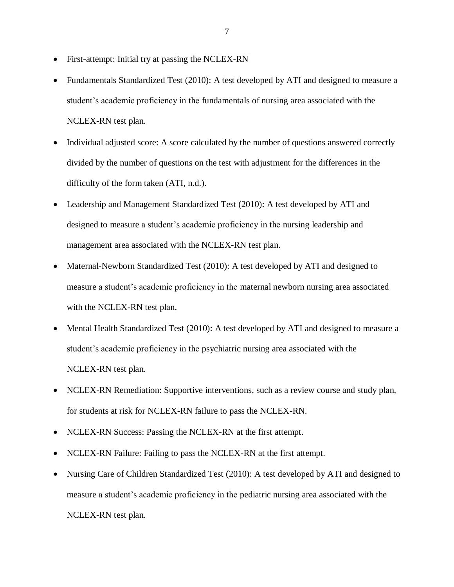- First-attempt: Initial try at passing the NCLEX-RN
- Fundamentals Standardized Test (2010): A test developed by ATI and designed to measure a student's academic proficiency in the fundamentals of nursing area associated with the NCLEX-RN test plan.
- Individual adjusted score: A score calculated by the number of questions answered correctly divided by the number of questions on the test with adjustment for the differences in the difficulty of the form taken (ATI, n.d.).
- Leadership and Management Standardized Test (2010): A test developed by ATI and designed to measure a student's academic proficiency in the nursing leadership and management area associated with the NCLEX-RN test plan.
- Maternal-Newborn Standardized Test (2010): A test developed by ATI and designed to measure a student's academic proficiency in the maternal newborn nursing area associated with the NCLEX-RN test plan.
- Mental Health Standardized Test (2010): A test developed by ATI and designed to measure a student's academic proficiency in the psychiatric nursing area associated with the NCLEX-RN test plan.
- NCLEX-RN Remediation: Supportive interventions, such as a review course and study plan, for students at risk for NCLEX-RN failure to pass the NCLEX-RN.
- NCLEX-RN Success: Passing the NCLEX-RN at the first attempt.
- NCLEX-RN Failure: Failing to pass the NCLEX-RN at the first attempt.
- Nursing Care of Children Standardized Test (2010): A test developed by ATI and designed to measure a student's academic proficiency in the pediatric nursing area associated with the NCLEX-RN test plan.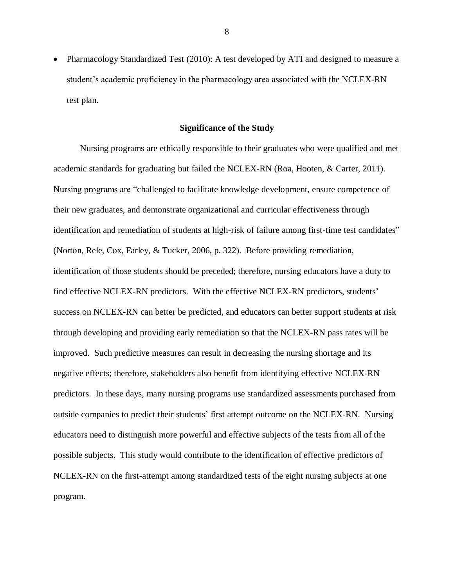Pharmacology Standardized Test (2010): A test developed by ATI and designed to measure a student's academic proficiency in the pharmacology area associated with the NCLEX-RN test plan.

## **Significance of the Study**

<span id="page-18-0"></span>Nursing programs are ethically responsible to their graduates who were qualified and met academic standards for graduating but failed the NCLEX-RN (Roa, Hooten, & Carter, 2011). Nursing programs are "challenged to facilitate knowledge development, ensure competence of their new graduates, and demonstrate organizational and curricular effectiveness through identification and remediation of students at high-risk of failure among first-time test candidates" (Norton, Rele, Cox, Farley, & Tucker, 2006, p. 322). Before providing remediation, identification of those students should be preceded; therefore, nursing educators have a duty to find effective NCLEX-RN predictors. With the effective NCLEX-RN predictors, students' success on NCLEX-RN can better be predicted, and educators can better support students at risk through developing and providing early remediation so that the NCLEX-RN pass rates will be improved. Such predictive measures can result in decreasing the nursing shortage and its negative effects; therefore, stakeholders also benefit from identifying effective NCLEX-RN predictors. In these days, many nursing programs use standardized assessments purchased from outside companies to predict their students' first attempt outcome on the NCLEX-RN. Nursing educators need to distinguish more powerful and effective subjects of the tests from all of the possible subjects. This study would contribute to the identification of effective predictors of NCLEX-RN on the first-attempt among standardized tests of the eight nursing subjects at one program.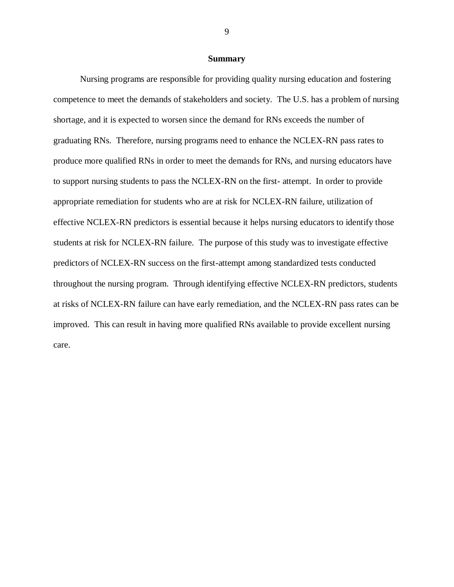#### **Summary**

<span id="page-19-0"></span>Nursing programs are responsible for providing quality nursing education and fostering competence to meet the demands of stakeholders and society. The U.S. has a problem of nursing shortage, and it is expected to worsen since the demand for RNs exceeds the number of graduating RNs. Therefore, nursing programs need to enhance the NCLEX-RN pass rates to produce more qualified RNs in order to meet the demands for RNs, and nursing educators have to support nursing students to pass the NCLEX-RN on the first- attempt. In order to provide appropriate remediation for students who are at risk for NCLEX-RN failure, utilization of effective NCLEX-RN predictors is essential because it helps nursing educators to identify those students at risk for NCLEX-RN failure. The purpose of this study was to investigate effective predictors of NCLEX-RN success on the first-attempt among standardized tests conducted throughout the nursing program. Through identifying effective NCLEX-RN predictors, students at risks of NCLEX-RN failure can have early remediation, and the NCLEX-RN pass rates can be improved. This can result in having more qualified RNs available to provide excellent nursing care.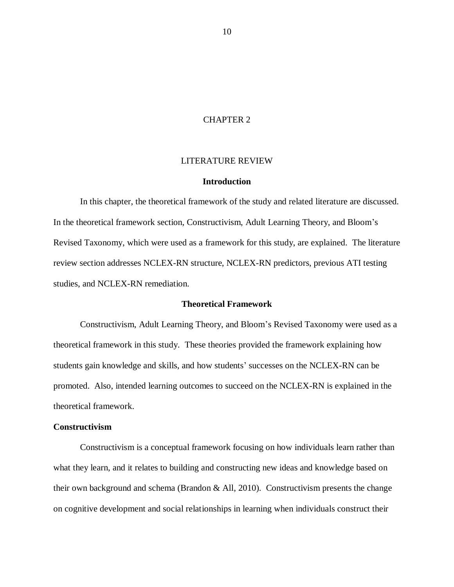## CHAPTER 2

## LITERATURE REVIEW

#### **Introduction**

<span id="page-20-1"></span><span id="page-20-0"></span>In this chapter, the theoretical framework of the study and related literature are discussed. In the theoretical framework section, Constructivism, Adult Learning Theory, and Bloom's Revised Taxonomy, which were used as a framework for this study, are explained. The literature review section addresses NCLEX-RN structure, NCLEX-RN predictors, previous ATI testing studies, and NCLEX-RN remediation.

#### **Theoretical Framework**

<span id="page-20-2"></span>Constructivism, Adult Learning Theory, and Bloom's Revised Taxonomy were used as a theoretical framework in this study. These theories provided the framework explaining how students gain knowledge and skills, and how students' successes on the NCLEX-RN can be promoted. Also, intended learning outcomes to succeed on the NCLEX-RN is explained in the theoretical framework.

#### <span id="page-20-3"></span>**Constructivism**

Constructivism is a conceptual framework focusing on how individuals learn rather than what they learn, and it relates to building and constructing new ideas and knowledge based on their own background and schema (Brandon & All, 2010). Constructivism presents the change on cognitive development and social relationships in learning when individuals construct their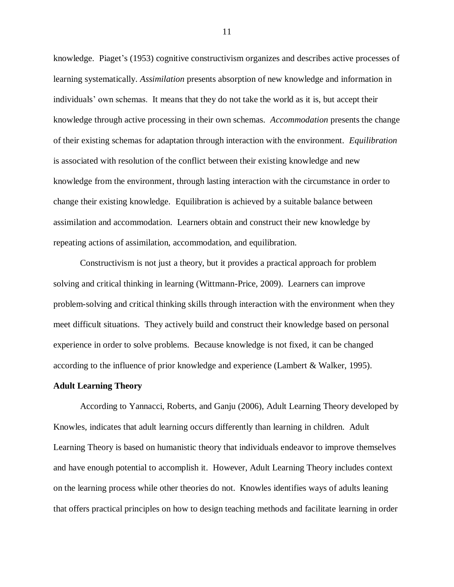knowledge. Piaget's (1953) cognitive constructivism organizes and describes active processes of learning systematically. *Assimilation* presents absorption of new knowledge and information in individuals' own schemas. It means that they do not take the world as it is, but accept their knowledge through active processing in their own schemas. *Accommodation* presents the change of their existing schemas for adaptation through interaction with the environment. *Equilibration* is associated with resolution of the conflict between their existing knowledge and new knowledge from the environment, through lasting interaction with the circumstance in order to change their existing knowledge. Equilibration is achieved by a suitable balance between assimilation and accommodation. Learners obtain and construct their new knowledge by repeating actions of assimilation, accommodation, and equilibration.

Constructivism is not just a theory, but it provides a practical approach for problem solving and critical thinking in learning (Wittmann-Price, 2009). Learners can improve problem-solving and critical thinking skills through interaction with the environment when they meet difficult situations. They actively build and construct their knowledge based on personal experience in order to solve problems. Because knowledge is not fixed, it can be changed according to the influence of prior knowledge and experience (Lambert & Walker, 1995).

#### <span id="page-21-0"></span>**Adult Learning Theory**

According to Yannacci, Roberts, and Ganju (2006), Adult Learning Theory developed by Knowles, indicates that adult learning occurs differently than learning in children. Adult Learning Theory is based on humanistic theory that individuals endeavor to improve themselves and have enough potential to accomplish it. However, Adult Learning Theory includes context on the learning process while other theories do not. Knowles identifies ways of adults leaning that offers practical principles on how to design teaching methods and facilitate learning in order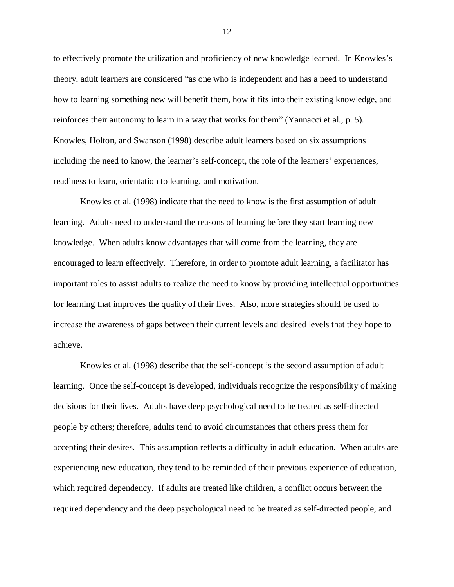to effectively promote the utilization and proficiency of new knowledge learned. In Knowles's theory, adult learners are considered "as one who is independent and has a need to understand how to learning something new will benefit them, how it fits into their existing knowledge, and reinforces their autonomy to learn in a way that works for them" (Yannacci et al., p. 5). Knowles, Holton, and Swanson (1998) describe adult learners based on six assumptions including the need to know, the learner's self-concept, the role of the learners' experiences, readiness to learn, orientation to learning, and motivation.

Knowles et al. (1998) indicate that the need to know is the first assumption of adult learning. Adults need to understand the reasons of learning before they start learning new knowledge. When adults know advantages that will come from the learning, they are encouraged to learn effectively. Therefore, in order to promote adult learning, a facilitator has important roles to assist adults to realize the need to know by providing intellectual opportunities for learning that improves the quality of their lives. Also, more strategies should be used to increase the awareness of gaps between their current levels and desired levels that they hope to achieve.

Knowles et al. (1998) describe that the self-concept is the second assumption of adult learning. Once the self-concept is developed, individuals recognize the responsibility of making decisions for their lives. Adults have deep psychological need to be treated as self-directed people by others; therefore, adults tend to avoid circumstances that others press them for accepting their desires. This assumption reflects a difficulty in adult education. When adults are experiencing new education, they tend to be reminded of their previous experience of education, which required dependency. If adults are treated like children, a conflict occurs between the required dependency and the deep psychological need to be treated as self-directed people, and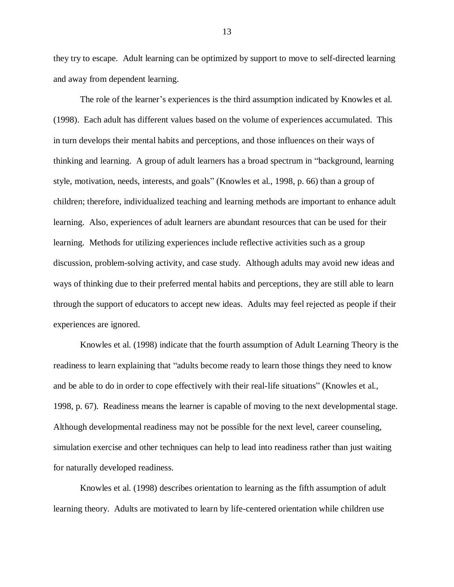they try to escape. Adult learning can be optimized by support to move to self-directed learning and away from dependent learning.

The role of the learner's experiences is the third assumption indicated by Knowles et al. (1998). Each adult has different values based on the volume of experiences accumulated. This in turn develops their mental habits and perceptions, and those influences on their ways of thinking and learning. A group of adult learners has a broad spectrum in "background, learning style, motivation, needs, interests, and goals" (Knowles et al., 1998, p. 66) than a group of children; therefore, individualized teaching and learning methods are important to enhance adult learning. Also, experiences of adult learners are abundant resources that can be used for their learning. Methods for utilizing experiences include reflective activities such as a group discussion, problem-solving activity, and case study. Although adults may avoid new ideas and ways of thinking due to their preferred mental habits and perceptions, they are still able to learn through the support of educators to accept new ideas. Adults may feel rejected as people if their experiences are ignored.

Knowles et al. (1998) indicate that the fourth assumption of Adult Learning Theory is the readiness to learn explaining that "adults become ready to learn those things they need to know and be able to do in order to cope effectively with their real-life situations" (Knowles et al., 1998, p. 67). Readiness means the learner is capable of moving to the next developmental stage. Although developmental readiness may not be possible for the next level, career counseling, simulation exercise and other techniques can help to lead into readiness rather than just waiting for naturally developed readiness.

Knowles et al. (1998) describes orientation to learning as the fifth assumption of adult learning theory. Adults are motivated to learn by life-centered orientation while children use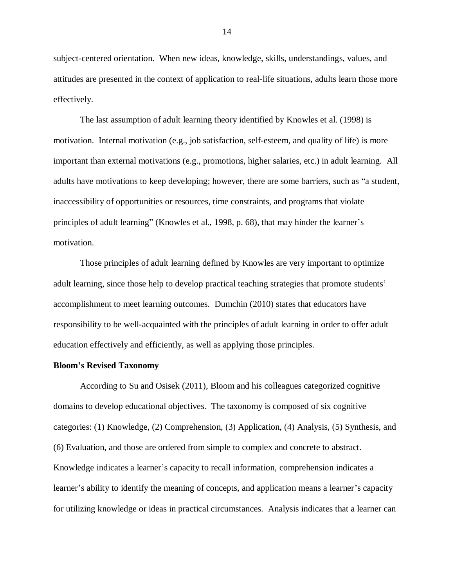subject-centered orientation. When new ideas, knowledge, skills, understandings, values, and attitudes are presented in the context of application to real-life situations, adults learn those more effectively.

The last assumption of adult learning theory identified by Knowles et al. (1998) is motivation. Internal motivation (e.g., job satisfaction, self-esteem, and quality of life) is more important than external motivations (e.g., promotions, higher salaries, etc.) in adult learning. All adults have motivations to keep developing; however, there are some barriers, such as "a student, inaccessibility of opportunities or resources, time constraints, and programs that violate principles of adult learning" (Knowles et al., 1998, p. 68), that may hinder the learner's motivation.

Those principles of adult learning defined by Knowles are very important to optimize adult learning, since those help to develop practical teaching strategies that promote students' accomplishment to meet learning outcomes. Dumchin (2010) states that educators have responsibility to be well-acquainted with the principles of adult learning in order to offer adult education effectively and efficiently, as well as applying those principles.

#### <span id="page-24-0"></span>**Bloom's Revised Taxonomy**

According to Su and Osisek (2011), Bloom and his colleagues categorized cognitive domains to develop educational objectives. The taxonomy is composed of six cognitive categories: (1) Knowledge, (2) Comprehension, (3) Application, (4) Analysis, (5) Synthesis, and (6) Evaluation, and those are ordered from simple to complex and concrete to abstract. Knowledge indicates a learner's capacity to recall information, comprehension indicates a learner's ability to identify the meaning of concepts, and application means a learner's capacity for utilizing knowledge or ideas in practical circumstances. Analysis indicates that a learner can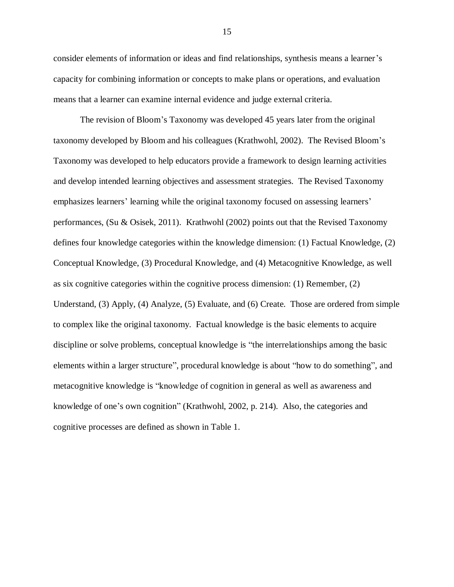consider elements of information or ideas and find relationships, synthesis means a learner's capacity for combining information or concepts to make plans or operations, and evaluation means that a learner can examine internal evidence and judge external criteria.

The revision of Bloom's Taxonomy was developed 45 years later from the original taxonomy developed by Bloom and his colleagues (Krathwohl, 2002). The Revised Bloom's Taxonomy was developed to help educators provide a framework to design learning activities and develop intended learning objectives and assessment strategies. The Revised Taxonomy emphasizes learners' learning while the original taxonomy focused on assessing learners' performances, (Su & Osisek, 2011). Krathwohl (2002) points out that the Revised Taxonomy defines four knowledge categories within the knowledge dimension: (1) Factual Knowledge, (2) Conceptual Knowledge, (3) Procedural Knowledge, and (4) Metacognitive Knowledge, as well as six cognitive categories within the cognitive process dimension: (1) Remember, (2) Understand, (3) Apply, (4) Analyze, (5) Evaluate, and (6) Create. Those are ordered from simple to complex like the original taxonomy. Factual knowledge is the basic elements to acquire discipline or solve problems, conceptual knowledge is "the interrelationships among the basic elements within a larger structure", procedural knowledge is about "how to do something", and metacognitive knowledge is "knowledge of cognition in general as well as awareness and knowledge of one's own cognition" (Krathwohl, 2002, p. 214). Also, the categories and cognitive processes are defined as shown in Table 1.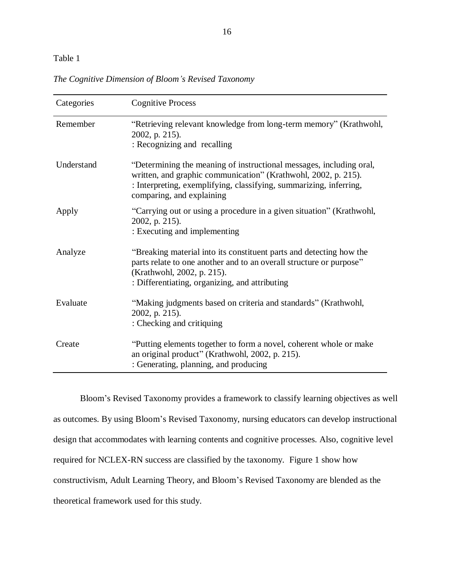# Table 1

| Categories | <b>Cognitive Process</b>                                                                                                                                                                                                                 |
|------------|------------------------------------------------------------------------------------------------------------------------------------------------------------------------------------------------------------------------------------------|
| Remember   | "Retrieving relevant knowledge from long-term memory" (Krathwohl,<br>2002, p. 215).<br>: Recognizing and recalling                                                                                                                       |
| Understand | "Determining the meaning of instructional messages, including oral,<br>written, and graphic communication" (Krathwohl, 2002, p. 215).<br>: Interpreting, exemplifying, classifying, summarizing, inferring,<br>comparing, and explaining |
| Apply      | "Carrying out or using a procedure in a given situation" (Krathwohl,<br>2002, p. 215).<br>: Executing and implementing                                                                                                                   |
| Analyze    | "Breaking material into its constituent parts and detecting how the<br>parts relate to one another and to an overall structure or purpose"<br>(Krathwohl, 2002, p. 215).<br>: Differentiating, organizing, and attributing               |
| Evaluate   | "Making judgments based on criteria and standards" (Krathwohl,<br>2002, p. 215).<br>: Checking and critiquing                                                                                                                            |
| Create     | "Putting elements together to form a novel, coherent whole or make<br>an original product" (Krathwohl, 2002, p. 215).<br>: Generating, planning, and producing                                                                           |

*The Cognitive Dimension of Bloom's Revised Taxonomy*

Bloom's Revised Taxonomy provides a framework to classify learning objectives as well as outcomes. By using Bloom's Revised Taxonomy, nursing educators can develop instructional design that accommodates with learning contents and cognitive processes. Also, cognitive level required for NCLEX-RN success are classified by the taxonomy. Figure 1 show how constructivism, Adult Learning Theory, and Bloom's Revised Taxonomy are blended as the theoretical framework used for this study.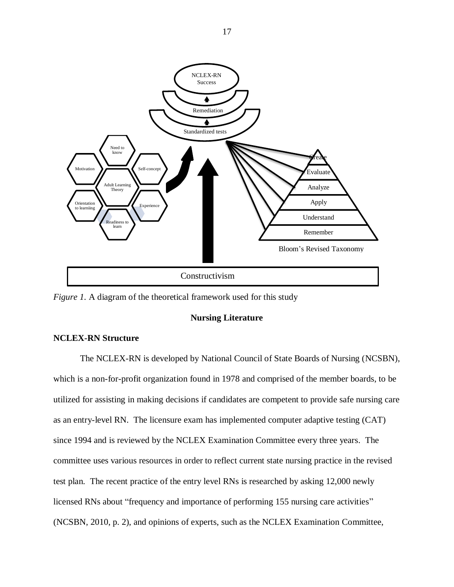

<span id="page-27-0"></span>*Figure 1.* A diagram of the theoretical framework used for this study

## **Nursing Literature**

## <span id="page-27-1"></span>**NCLEX-RN Structure**

The NCLEX-RN is developed by National Council of State Boards of Nursing (NCSBN), which is a non-for-profit organization found in 1978 and comprised of the member boards, to be utilized for assisting in making decisions if candidates are competent to provide safe nursing care as an entry-level RN. The licensure exam has implemented computer adaptive testing (CAT) since 1994 and is reviewed by the NCLEX Examination Committee every three years. The committee uses various resources in order to reflect current state nursing practice in the revised test plan. The recent practice of the entry level RNs is researched by asking 12,000 newly licensed RNs about "frequency and importance of performing 155 nursing care activities" (NCSBN, 2010, p. 2), and opinions of experts, such as the NCLEX Examination Committee,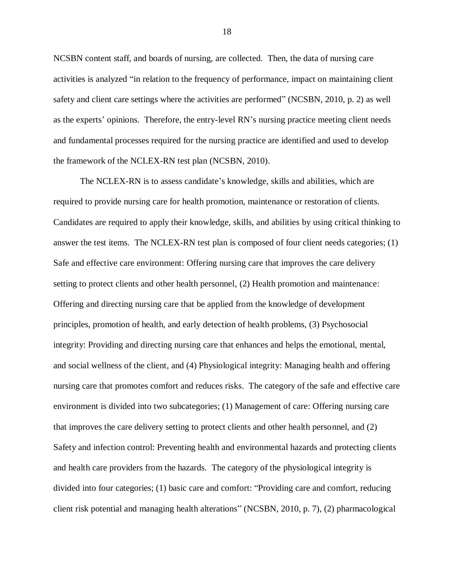NCSBN content staff, and boards of nursing, are collected. Then, the data of nursing care activities is analyzed "in relation to the frequency of performance, impact on maintaining client safety and client care settings where the activities are performed" (NCSBN, 2010, p. 2) as well as the experts' opinions. Therefore, the entry-level RN's nursing practice meeting client needs and fundamental processes required for the nursing practice are identified and used to develop the framework of the NCLEX-RN test plan (NCSBN, 2010).

The NCLEX-RN is to assess candidate's knowledge, skills and abilities, which are required to provide nursing care for health promotion, maintenance or restoration of clients. Candidates are required to apply their knowledge, skills, and abilities by using critical thinking to answer the test items. The NCLEX-RN test plan is composed of four client needs categories; (1) Safe and effective care environment: Offering nursing care that improves the care delivery setting to protect clients and other health personnel, (2) Health promotion and maintenance: Offering and directing nursing care that be applied from the knowledge of development principles, promotion of health, and early detection of health problems, (3) Psychosocial integrity: Providing and directing nursing care that enhances and helps the emotional, mental, and social wellness of the client, and (4) Physiological integrity: Managing health and offering nursing care that promotes comfort and reduces risks. The category of the safe and effective care environment is divided into two subcategories; (1) Management of care: Offering nursing care that improves the care delivery setting to protect clients and other health personnel, and (2) Safety and infection control: Preventing health and environmental hazards and protecting clients and health care providers from the hazards. The category of the physiological integrity is divided into four categories; (1) basic care and comfort: "Providing care and comfort, reducing client risk potential and managing health alterations" (NCSBN, 2010, p. 7), (2) pharmacological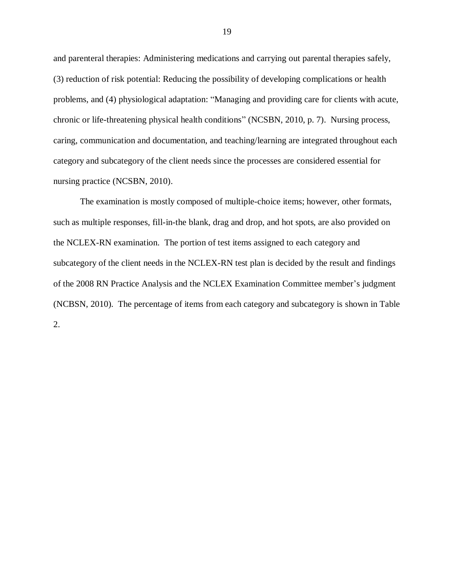and parenteral therapies: Administering medications and carrying out parental therapies safely, (3) reduction of risk potential: Reducing the possibility of developing complications or health problems, and (4) physiological adaptation: "Managing and providing care for clients with acute, chronic or life-threatening physical health conditions" (NCSBN, 2010, p. 7). Nursing process, caring, communication and documentation, and teaching/learning are integrated throughout each category and subcategory of the client needs since the processes are considered essential for nursing practice (NCSBN, 2010).

The examination is mostly composed of multiple-choice items; however, other formats, such as multiple responses, fill-in-the blank, drag and drop, and hot spots, are also provided on the NCLEX-RN examination. The portion of test items assigned to each category and subcategory of the client needs in the NCLEX-RN test plan is decided by the result and findings of the 2008 RN Practice Analysis and the NCLEX Examination Committee member's judgment (NCBSN, 2010). The percentage of items from each category and subcategory is shown in Table 2.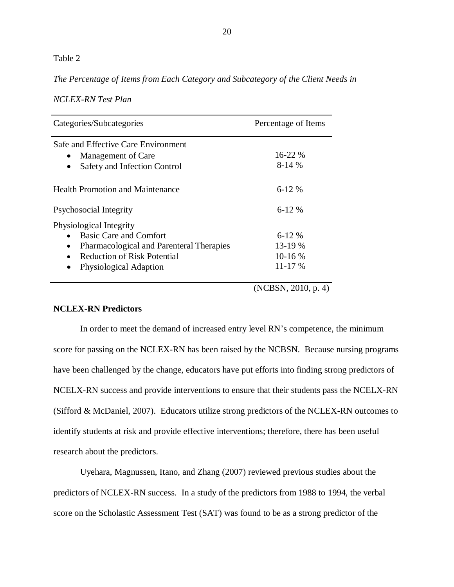## Table 2

*The Percentage of Items from Each Category and Subcategory of the Client Needs in* 

| <b>NCLEX-RN Test Plan</b> |  |
|---------------------------|--|
|---------------------------|--|

| Categories/Subcategories                                                                               | Percentage of Items     |  |
|--------------------------------------------------------------------------------------------------------|-------------------------|--|
| Safe and Effective Care Environment<br>Management of Care<br>Safety and Infection Control<br>$\bullet$ | $16 - 22 \%$<br>$8-14%$ |  |
| <b>Health Promotion and Maintenance</b>                                                                | $6 - 12%$               |  |
| Psychosocial Integrity                                                                                 | $6-12\%$                |  |
| Physiological Integrity                                                                                |                         |  |
| <b>Basic Care and Comfort</b>                                                                          | $6 - 12 \%$             |  |
| Pharmacological and Parenteral Therapies<br>$\bullet$                                                  | 13-19 %                 |  |
| <b>Reduction of Risk Potential</b><br>$\bullet$                                                        | $10-16%$                |  |
| Physiological Adaption<br>$\bullet$                                                                    | $11 - 17%$              |  |
|                                                                                                        |                         |  |

(NCBSN, 2010, p. 4)

## <span id="page-30-0"></span>**NCLEX-RN Predictors**

In order to meet the demand of increased entry level RN's competence, the minimum score for passing on the NCLEX-RN has been raised by the NCBSN. Because nursing programs have been challenged by the change, educators have put efforts into finding strong predictors of NCELX-RN success and provide interventions to ensure that their students pass the NCELX-RN (Sifford & McDaniel, 2007). Educators utilize strong predictors of the NCLEX-RN outcomes to identify students at risk and provide effective interventions; therefore, there has been useful research about the predictors.

Uyehara, Magnussen, Itano, and Zhang (2007) reviewed previous studies about the predictors of NCLEX-RN success. In a study of the predictors from 1988 to 1994, the verbal score on the Scholastic Assessment Test (SAT) was found to be as a strong predictor of the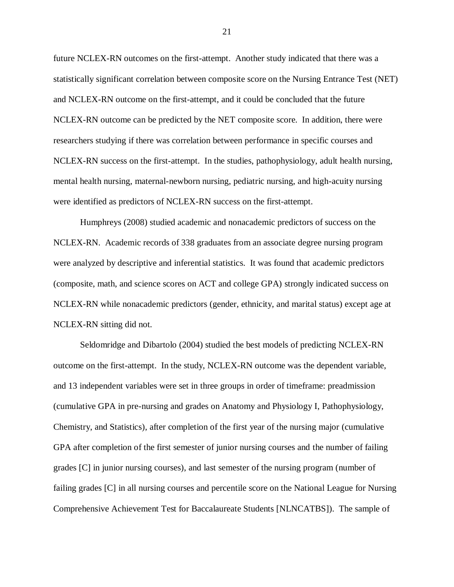future NCLEX-RN outcomes on the first-attempt. Another study indicated that there was a statistically significant correlation between composite score on the Nursing Entrance Test (NET) and NCLEX-RN outcome on the first-attempt, and it could be concluded that the future NCLEX-RN outcome can be predicted by the NET composite score. In addition, there were researchers studying if there was correlation between performance in specific courses and NCLEX-RN success on the first-attempt. In the studies, pathophysiology, adult health nursing, mental health nursing, maternal-newborn nursing, pediatric nursing, and high-acuity nursing were identified as predictors of NCLEX-RN success on the first-attempt.

Humphreys (2008) studied academic and nonacademic predictors of success on the NCLEX-RN. Academic records of 338 graduates from an associate degree nursing program were analyzed by descriptive and inferential statistics. It was found that academic predictors (composite, math, and science scores on ACT and college GPA) strongly indicated success on NCLEX-RN while nonacademic predictors (gender, ethnicity, and marital status) except age at NCLEX-RN sitting did not.

Seldomridge and Dibartolo (2004) studied the best models of predicting NCLEX-RN outcome on the first-attempt. In the study, NCLEX-RN outcome was the dependent variable, and 13 independent variables were set in three groups in order of timeframe: preadmission (cumulative GPA in pre-nursing and grades on Anatomy and Physiology I, Pathophysiology, Chemistry, and Statistics), after completion of the first year of the nursing major (cumulative GPA after completion of the first semester of junior nursing courses and the number of failing grades [C] in junior nursing courses), and last semester of the nursing program (number of failing grades [C] in all nursing courses and percentile score on the National League for Nursing Comprehensive Achievement Test for Baccalaureate Students [NLNCATBS]). The sample of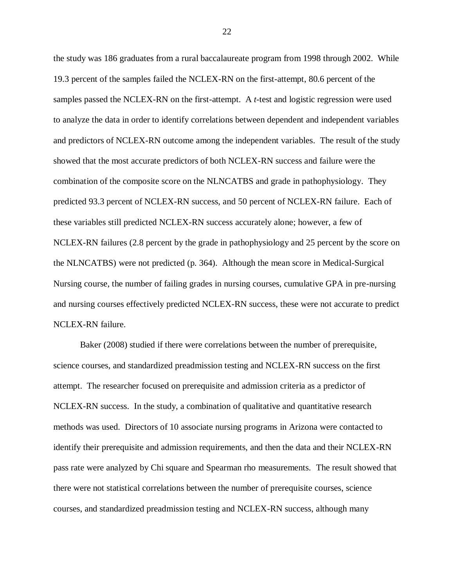the study was 186 graduates from a rural baccalaureate program from 1998 through 2002. While 19.3 percent of the samples failed the NCLEX-RN on the first-attempt, 80.6 percent of the samples passed the NCLEX-RN on the first-attempt. A *t*-test and logistic regression were used to analyze the data in order to identify correlations between dependent and independent variables and predictors of NCLEX-RN outcome among the independent variables. The result of the study showed that the most accurate predictors of both NCLEX-RN success and failure were the combination of the composite score on the NLNCATBS and grade in pathophysiology. They predicted 93.3 percent of NCLEX-RN success, and 50 percent of NCLEX-RN failure. Each of these variables still predicted NCLEX-RN success accurately alone; however, a few of NCLEX-RN failures (2.8 percent by the grade in pathophysiology and 25 percent by the score on the NLNCATBS) were not predicted (p. 364). Although the mean score in Medical-Surgical Nursing course, the number of failing grades in nursing courses, cumulative GPA in pre-nursing and nursing courses effectively predicted NCLEX-RN success, these were not accurate to predict NCLEX-RN failure.

Baker (2008) studied if there were correlations between the number of prerequisite, science courses, and standardized preadmission testing and NCLEX-RN success on the first attempt. The researcher focused on prerequisite and admission criteria as a predictor of NCLEX-RN success. In the study, a combination of qualitative and quantitative research methods was used. Directors of 10 associate nursing programs in Arizona were contacted to identify their prerequisite and admission requirements, and then the data and their NCLEX-RN pass rate were analyzed by Chi square and Spearman rho measurements. The result showed that there were not statistical correlations between the number of prerequisite courses, science courses, and standardized preadmission testing and NCLEX-RN success, although many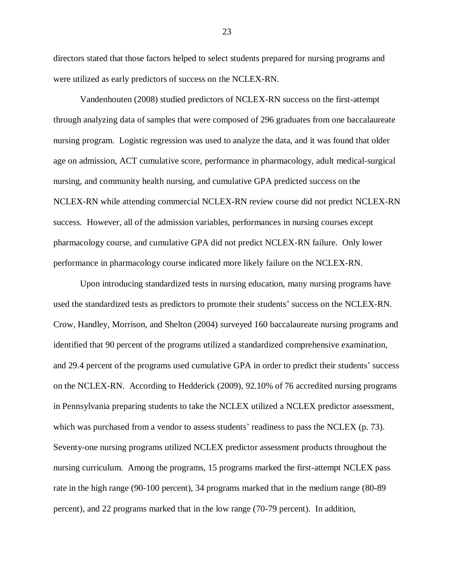directors stated that those factors helped to select students prepared for nursing programs and were utilized as early predictors of success on the NCLEX-RN.

Vandenhouten (2008) studied predictors of NCLEX-RN success on the first-attempt through analyzing data of samples that were composed of 296 graduates from one baccalaureate nursing program. Logistic regression was used to analyze the data, and it was found that older age on admission, ACT cumulative score, performance in pharmacology, adult medical-surgical nursing, and community health nursing, and cumulative GPA predicted success on the NCLEX-RN while attending commercial NCLEX-RN review course did not predict NCLEX-RN success. However, all of the admission variables, performances in nursing courses except pharmacology course, and cumulative GPA did not predict NCLEX-RN failure. Only lower performance in pharmacology course indicated more likely failure on the NCLEX-RN.

Upon introducing standardized tests in nursing education, many nursing programs have used the standardized tests as predictors to promote their students' success on the NCLEX-RN. Crow, Handley, Morrison, and Shelton (2004) surveyed 160 baccalaureate nursing programs and identified that 90 percent of the programs utilized a standardized comprehensive examination, and 29.4 percent of the programs used cumulative GPA in order to predict their students' success on the NCLEX-RN. According to Hedderick (2009), 92.10% of 76 accredited nursing programs in Pennsylvania preparing students to take the NCLEX utilized a NCLEX predictor assessment, which was purchased from a vendor to assess students' readiness to pass the NCLEX (p. 73). Seventy-one nursing programs utilized NCLEX predictor assessment products throughout the nursing curriculum. Among the programs, 15 programs marked the first-attempt NCLEX pass rate in the high range (90-100 percent), 34 programs marked that in the medium range (80-89 percent), and 22 programs marked that in the low range (70-79 percent). In addition,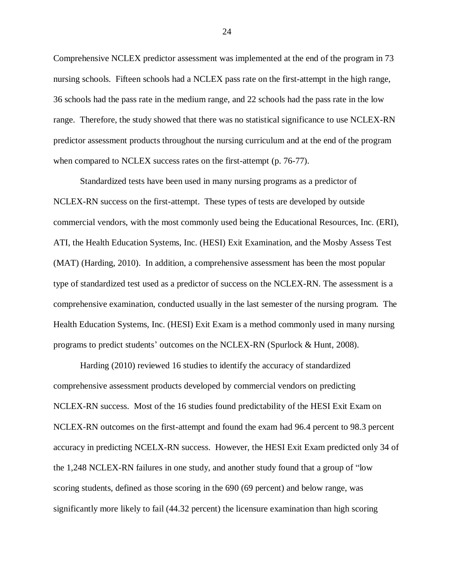Comprehensive NCLEX predictor assessment was implemented at the end of the program in 73 nursing schools. Fifteen schools had a NCLEX pass rate on the first-attempt in the high range, 36 schools had the pass rate in the medium range, and 22 schools had the pass rate in the low range. Therefore, the study showed that there was no statistical significance to use NCLEX-RN predictor assessment products throughout the nursing curriculum and at the end of the program when compared to NCLEX success rates on the first-attempt (p. 76-77).

Standardized tests have been used in many nursing programs as a predictor of NCLEX-RN success on the first-attempt. These types of tests are developed by outside commercial vendors, with the most commonly used being the Educational Resources, Inc. (ERI), ATI, the Health Education Systems, Inc. (HESI) Exit Examination, and the Mosby Assess Test (MAT) (Harding, 2010). In addition, a comprehensive assessment has been the most popular type of standardized test used as a predictor of success on the NCLEX-RN. The assessment is a comprehensive examination, conducted usually in the last semester of the nursing program. The Health Education Systems, Inc. (HESI) Exit Exam is a method commonly used in many nursing programs to predict students' outcomes on the NCLEX-RN (Spurlock & Hunt, 2008).

Harding (2010) reviewed 16 studies to identify the accuracy of standardized comprehensive assessment products developed by commercial vendors on predicting NCLEX-RN success. Most of the 16 studies found predictability of the HESI Exit Exam on NCLEX-RN outcomes on the first-attempt and found the exam had 96.4 percent to 98.3 percent accuracy in predicting NCELX-RN success. However, the HESI Exit Exam predicted only 34 of the 1,248 NCLEX-RN failures in one study, and another study found that a group of "low scoring students, defined as those scoring in the 690 (69 percent) and below range, was significantly more likely to fail (44.32 percent) the licensure examination than high scoring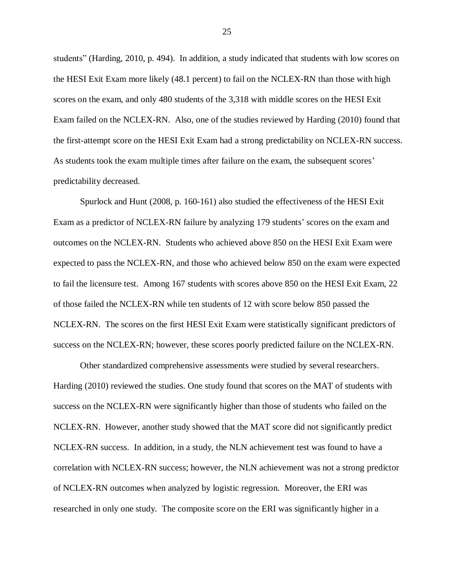students" (Harding, 2010, p. 494). In addition, a study indicated that students with low scores on the HESI Exit Exam more likely (48.1 percent) to fail on the NCLEX-RN than those with high scores on the exam, and only 480 students of the 3,318 with middle scores on the HESI Exit Exam failed on the NCLEX-RN. Also, one of the studies reviewed by Harding (2010) found that the first-attempt score on the HESI Exit Exam had a strong predictability on NCLEX-RN success. As students took the exam multiple times after failure on the exam, the subsequent scores' predictability decreased.

Spurlock and Hunt (2008, p. 160-161) also studied the effectiveness of the HESI Exit Exam as a predictor of NCLEX-RN failure by analyzing 179 students' scores on the exam and outcomes on the NCLEX-RN. Students who achieved above 850 on the HESI Exit Exam were expected to pass the NCLEX-RN, and those who achieved below 850 on the exam were expected to fail the licensure test. Among 167 students with scores above 850 on the HESI Exit Exam, 22 of those failed the NCLEX-RN while ten students of 12 with score below 850 passed the NCLEX-RN. The scores on the first HESI Exit Exam were statistically significant predictors of success on the NCLEX-RN; however, these scores poorly predicted failure on the NCLEX-RN.

Other standardized comprehensive assessments were studied by several researchers. Harding (2010) reviewed the studies. One study found that scores on the MAT of students with success on the NCLEX-RN were significantly higher than those of students who failed on the NCLEX-RN. However, another study showed that the MAT score did not significantly predict NCLEX-RN success. In addition, in a study, the NLN achievement test was found to have a correlation with NCLEX-RN success; however, the NLN achievement was not a strong predictor of NCLEX-RN outcomes when analyzed by logistic regression. Moreover, the ERI was researched in only one study. The composite score on the ERI was significantly higher in a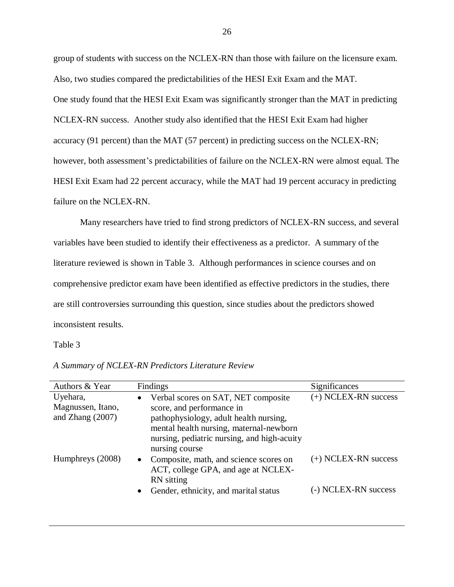group of students with success on the NCLEX-RN than those with failure on the licensure exam. Also, two studies compared the predictabilities of the HESI Exit Exam and the MAT. One study found that the HESI Exit Exam was significantly stronger than the MAT in predicting NCLEX-RN success. Another study also identified that the HESI Exit Exam had higher accuracy (91 percent) than the MAT (57 percent) in predicting success on the NCLEX-RN; however, both assessment's predictabilities of failure on the NCLEX-RN were almost equal. The HESI Exit Exam had 22 percent accuracy, while the MAT had 19 percent accuracy in predicting failure on the NCLEX-RN.

Many researchers have tried to find strong predictors of NCLEX-RN success, and several variables have been studied to identify their effectiveness as a predictor. A summary of the literature reviewed is shown in Table 3. Although performances in science courses and on comprehensive predictor exam have been identified as effective predictors in the studies, there are still controversies surrounding this question, since studies about the predictors showed inconsistent results.

## Table 3

| Authors & Year                                      | Findings                                                                                                                                                                                                                            | Significances                                  |
|-----------------------------------------------------|-------------------------------------------------------------------------------------------------------------------------------------------------------------------------------------------------------------------------------------|------------------------------------------------|
| Uyehara,<br>Magnussen, Itano,<br>and Zhang $(2007)$ | Verbal scores on SAT, NET composite<br>$\bullet$<br>score, and performance in<br>pathophysiology, adult health nursing,<br>mental health nursing, maternal-newborn<br>nursing, pediatric nursing, and high-acuity<br>nursing course | (+) NCLEX-RN success                           |
| Humphreys (2008)                                    | Composite, math, and science scores on<br>$\bullet$<br>ACT, college GPA, and age at NCLEX-<br>RN sitting<br>Gender, ethnicity, and marital status                                                                                   | $(+)$ NCLEX-RN success<br>(-) NCLEX-RN success |

*A Summary of NCLEX-RN Predictors Literature Review*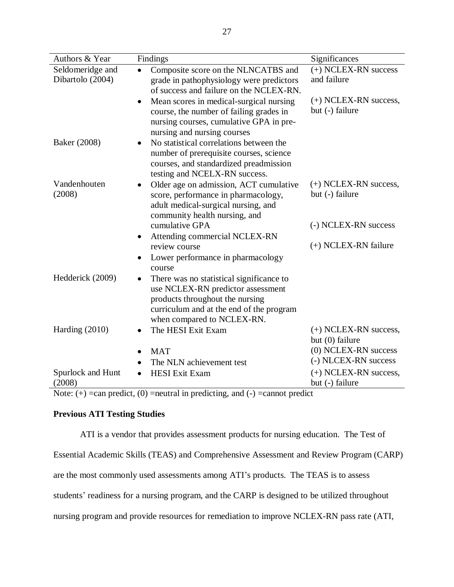| Authors & Year                       | Findings                                                                                                                                                                                   | Significances                                                   |
|--------------------------------------|--------------------------------------------------------------------------------------------------------------------------------------------------------------------------------------------|-----------------------------------------------------------------|
| Seldomeridge and<br>Dibartolo (2004) | Composite score on the NLNCATBS and<br>grade in pathophysiology were predictors<br>of success and failure on the NCLEX-RN.                                                                 | (+) NCLEX-RN success<br>and failure                             |
|                                      | Mean scores in medical-surgical nursing<br>$\bullet$<br>course, the number of failing grades in<br>nursing courses, cumulative GPA in pre-<br>nursing and nursing courses                  | (+) NCLEX-RN success,<br>but (-) failure                        |
| Baker (2008)                         | No statistical correlations between the<br>number of prerequisite courses, science<br>courses, and standardized preadmission<br>testing and NCELX-RN success.                              |                                                                 |
| Vandenhouten<br>(2008)               | Older age on admission, ACT cumulative<br>score, performance in pharmacology,<br>adult medical-surgical nursing, and<br>community health nursing, and                                      | $(+)$ NCLEX-RN success,<br>but (-) failure                      |
|                                      | cumulative GPA<br>Attending commercial NCLEX-RN<br>$\bullet$                                                                                                                               | (-) NCLEX-RN success                                            |
|                                      | review course                                                                                                                                                                              | (+) NCLEX-RN failure                                            |
|                                      | Lower performance in pharmacology<br>course                                                                                                                                                |                                                                 |
| Hedderick (2009)                     | There was no statistical significance to<br>use NCLEX-RN predictor assessment<br>products throughout the nursing<br>curriculum and at the end of the program<br>when compared to NCLEX-RN. |                                                                 |
| Harding $(2010)$                     | The HESI Exit Exam                                                                                                                                                                         | $(+)$ NCLEX-RN success,                                         |
|                                      | <b>MAT</b><br>The NLN achievement test                                                                                                                                                     | but (0) failure<br>(0) NCLEX-RN success<br>(-) NLCEX-RN success |
| Spurlock and Hunt<br>(2008)          | <b>HESI</b> Exit Exam                                                                                                                                                                      | $(+)$ NCLEX-RN success,<br>but (-) failure                      |

Note:  $(+)$  =can predict,  $(0)$  =neutral in predicting, and  $(-)$  =cannot predict

# **Previous ATI Testing Studies**

ATI is a vendor that provides assessment products for nursing education. The Test of

Essential Academic Skills (TEAS) and Comprehensive Assessment and Review Program (CARP)

are the most commonly used assessments among ATI's products. The TEAS is to assess

students' readiness for a nursing program, and the CARP is designed to be utilized throughout

nursing program and provide resources for remediation to improve NCLEX-RN pass rate (ATI,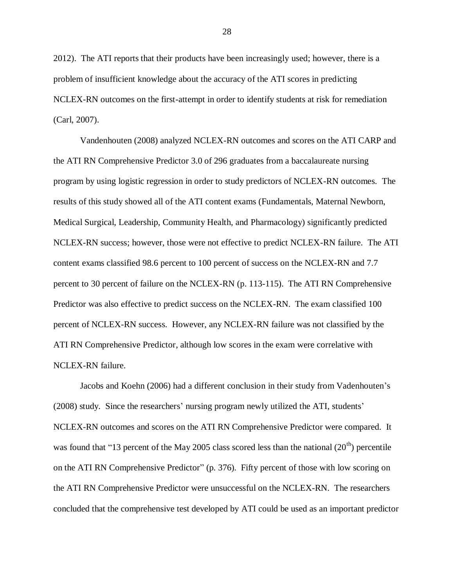2012). The ATI reports that their products have been increasingly used; however, there is a problem of insufficient knowledge about the accuracy of the ATI scores in predicting NCLEX-RN outcomes on the first-attempt in order to identify students at risk for remediation (Carl, 2007).

Vandenhouten (2008) analyzed NCLEX-RN outcomes and scores on the ATI CARP and the ATI RN Comprehensive Predictor 3.0 of 296 graduates from a baccalaureate nursing program by using logistic regression in order to study predictors of NCLEX-RN outcomes. The results of this study showed all of the ATI content exams (Fundamentals, Maternal Newborn, Medical Surgical, Leadership, Community Health, and Pharmacology) significantly predicted NCLEX-RN success; however, those were not effective to predict NCLEX-RN failure. The ATI content exams classified 98.6 percent to 100 percent of success on the NCLEX-RN and 7.7 percent to 30 percent of failure on the NCLEX-RN (p. 113-115). The ATI RN Comprehensive Predictor was also effective to predict success on the NCLEX-RN. The exam classified 100 percent of NCLEX-RN success. However, any NCLEX-RN failure was not classified by the ATI RN Comprehensive Predictor, although low scores in the exam were correlative with NCLEX-RN failure.

Jacobs and Koehn (2006) had a different conclusion in their study from Vadenhouten's (2008) study. Since the researchers' nursing program newly utilized the ATI, students' NCLEX-RN outcomes and scores on the ATI RN Comprehensive Predictor were compared. It was found that "13 percent of the May 2005 class scored less than the national  $(20<sup>th</sup>)$  percentile on the ATI RN Comprehensive Predictor" (p. 376). Fifty percent of those with low scoring on the ATI RN Comprehensive Predictor were unsuccessful on the NCLEX-RN. The researchers concluded that the comprehensive test developed by ATI could be used as an important predictor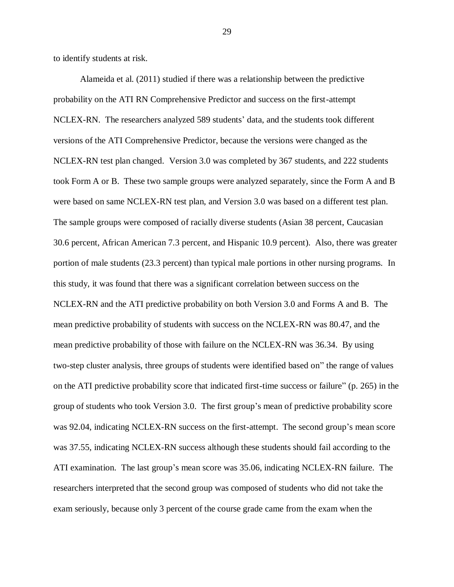to identify students at risk.

Alameida et al. (2011) studied if there was a relationship between the predictive probability on the ATI RN Comprehensive Predictor and success on the first-attempt NCLEX-RN. The researchers analyzed 589 students' data, and the students took different versions of the ATI Comprehensive Predictor, because the versions were changed as the NCLEX-RN test plan changed. Version 3.0 was completed by 367 students, and 222 students took Form A or B. These two sample groups were analyzed separately, since the Form A and B were based on same NCLEX-RN test plan, and Version 3.0 was based on a different test plan. The sample groups were composed of racially diverse students (Asian 38 percent, Caucasian 30.6 percent, African American 7.3 percent, and Hispanic 10.9 percent). Also, there was greater portion of male students (23.3 percent) than typical male portions in other nursing programs. In this study, it was found that there was a significant correlation between success on the NCLEX-RN and the ATI predictive probability on both Version 3.0 and Forms A and B. The mean predictive probability of students with success on the NCLEX-RN was 80.47, and the mean predictive probability of those with failure on the NCLEX-RN was 36.34. By using two-step cluster analysis, three groups of students were identified based on" the range of values on the ATI predictive probability score that indicated first-time success or failure" (p. 265) in the group of students who took Version 3.0. The first group's mean of predictive probability score was 92.04, indicating NCLEX-RN success on the first-attempt. The second group's mean score was 37.55, indicating NCLEX-RN success although these students should fail according to the ATI examination. The last group's mean score was 35.06, indicating NCLEX-RN failure. The researchers interpreted that the second group was composed of students who did not take the exam seriously, because only 3 percent of the course grade came from the exam when the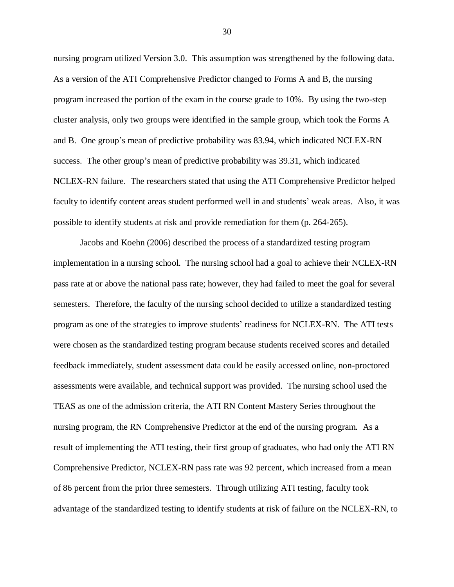nursing program utilized Version 3.0. This assumption was strengthened by the following data. As a version of the ATI Comprehensive Predictor changed to Forms A and B, the nursing program increased the portion of the exam in the course grade to 10%. By using the two-step cluster analysis, only two groups were identified in the sample group, which took the Forms A and B. One group's mean of predictive probability was 83.94, which indicated NCLEX-RN success. The other group's mean of predictive probability was 39.31, which indicated NCLEX-RN failure. The researchers stated that using the ATI Comprehensive Predictor helped faculty to identify content areas student performed well in and students' weak areas. Also, it was possible to identify students at risk and provide remediation for them (p. 264-265).

Jacobs and Koehn (2006) described the process of a standardized testing program implementation in a nursing school. The nursing school had a goal to achieve their NCLEX-RN pass rate at or above the national pass rate; however, they had failed to meet the goal for several semesters. Therefore, the faculty of the nursing school decided to utilize a standardized testing program as one of the strategies to improve students' readiness for NCLEX-RN. The ATI tests were chosen as the standardized testing program because students received scores and detailed feedback immediately, student assessment data could be easily accessed online, non-proctored assessments were available, and technical support was provided. The nursing school used the TEAS as one of the admission criteria, the ATI RN Content Mastery Series throughout the nursing program, the RN Comprehensive Predictor at the end of the nursing program. As a result of implementing the ATI testing, their first group of graduates, who had only the ATI RN Comprehensive Predictor, NCLEX-RN pass rate was 92 percent, which increased from a mean of 86 percent from the prior three semesters. Through utilizing ATI testing, faculty took advantage of the standardized testing to identify students at risk of failure on the NCLEX-RN, to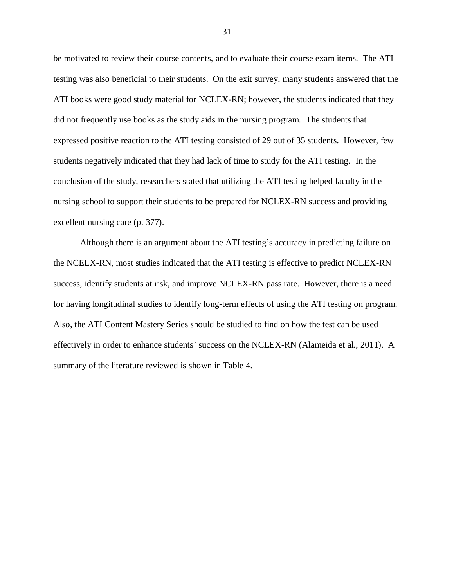be motivated to review their course contents, and to evaluate their course exam items. The ATI testing was also beneficial to their students. On the exit survey, many students answered that the ATI books were good study material for NCLEX-RN; however, the students indicated that they did not frequently use books as the study aids in the nursing program. The students that expressed positive reaction to the ATI testing consisted of 29 out of 35 students. However, few students negatively indicated that they had lack of time to study for the ATI testing. In the conclusion of the study, researchers stated that utilizing the ATI testing helped faculty in the nursing school to support their students to be prepared for NCLEX-RN success and providing excellent nursing care (p. 377).

Although there is an argument about the ATI testing's accuracy in predicting failure on the NCELX-RN, most studies indicated that the ATI testing is effective to predict NCLEX-RN success, identify students at risk, and improve NCLEX-RN pass rate. However, there is a need for having longitudinal studies to identify long-term effects of using the ATI testing on program. Also, the ATI Content Mastery Series should be studied to find on how the test can be used effectively in order to enhance students' success on the NCLEX-RN (Alameida et al., 2011). A summary of the literature reviewed is shown in Table 4.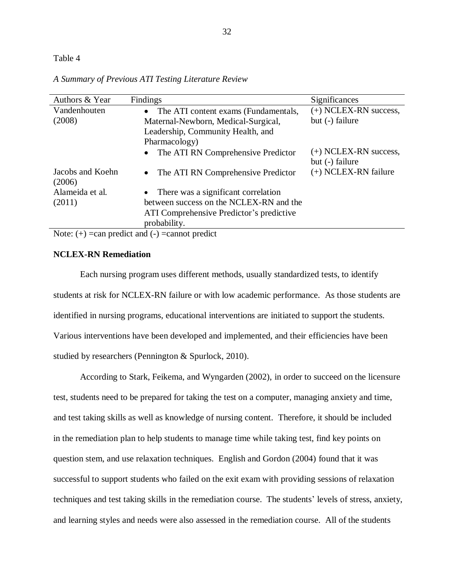# Table 4

| Authors & Year                                                     | Findings                                          | Significances                              |  |  |  |
|--------------------------------------------------------------------|---------------------------------------------------|--------------------------------------------|--|--|--|
| Vandenhouten                                                       | The ATI content exams (Fundamentals,<br>$\bullet$ | (+) NCLEX-RN success,                      |  |  |  |
| (2008)                                                             | Maternal-Newborn, Medical-Surgical,               | but (-) failure                            |  |  |  |
|                                                                    | Leadership, Community Health, and                 |                                            |  |  |  |
|                                                                    | Pharmacology)                                     |                                            |  |  |  |
|                                                                    | The ATI RN Comprehensive Predictor<br>$\bullet$   | $(+)$ NCLEX-RN success,<br>but (-) failure |  |  |  |
| Jacobs and Koehn<br>(2006)                                         | The ATI RN Comprehensive Predictor<br>$\bullet$   | (+) NCLEX-RN failure                       |  |  |  |
| Alameida et al.                                                    | There was a significant correlation<br>$\bullet$  |                                            |  |  |  |
| (2011)                                                             | between success on the NCLEX-RN and the           |                                            |  |  |  |
|                                                                    | ATI Comprehensive Predictor's predictive          |                                            |  |  |  |
|                                                                    | probability.                                      |                                            |  |  |  |
| $N_{\text{obs}}(1)$ = 2012 musclipt and $(1)$ = 2012 part musclipt |                                                   |                                            |  |  |  |

*A Summary of Previous ATI Testing Literature Review* 

Note:  $(+)$  =can predict and  $(-)$  =cannot predict

# **NCLEX-RN Remediation**

Each nursing program uses different methods, usually standardized tests, to identify students at risk for NCLEX-RN failure or with low academic performance. As those students are identified in nursing programs, educational interventions are initiated to support the students. Various interventions have been developed and implemented, and their efficiencies have been studied by researchers (Pennington & Spurlock, 2010).

According to Stark, Feikema, and Wyngarden (2002), in order to succeed on the licensure test, students need to be prepared for taking the test on a computer, managing anxiety and time, and test taking skills as well as knowledge of nursing content. Therefore, it should be included in the remediation plan to help students to manage time while taking test, find key points on question stem, and use relaxation techniques. English and Gordon (2004) found that it was successful to support students who failed on the exit exam with providing sessions of relaxation techniques and test taking skills in the remediation course. The students' levels of stress, anxiety, and learning styles and needs were also assessed in the remediation course. All of the students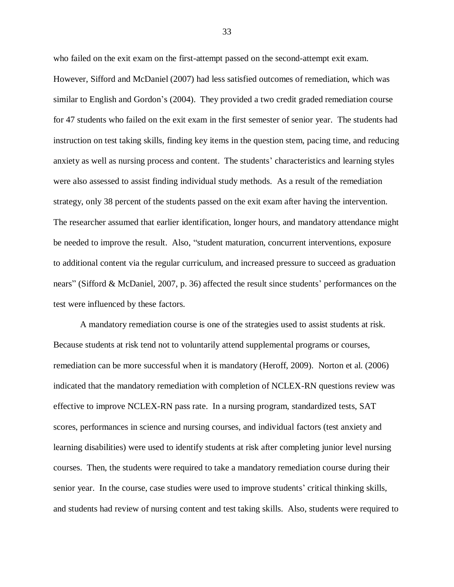who failed on the exit exam on the first-attempt passed on the second-attempt exit exam. However, Sifford and McDaniel (2007) had less satisfied outcomes of remediation, which was similar to English and Gordon's (2004). They provided a two credit graded remediation course for 47 students who failed on the exit exam in the first semester of senior year. The students had instruction on test taking skills, finding key items in the question stem, pacing time, and reducing anxiety as well as nursing process and content. The students' characteristics and learning styles were also assessed to assist finding individual study methods. As a result of the remediation strategy, only 38 percent of the students passed on the exit exam after having the intervention. The researcher assumed that earlier identification, longer hours, and mandatory attendance might be needed to improve the result. Also, "student maturation, concurrent interventions, exposure to additional content via the regular curriculum, and increased pressure to succeed as graduation nears" (Sifford & McDaniel, 2007, p. 36) affected the result since students' performances on the test were influenced by these factors.

A mandatory remediation course is one of the strategies used to assist students at risk. Because students at risk tend not to voluntarily attend supplemental programs or courses, remediation can be more successful when it is mandatory (Heroff, 2009). Norton et al. (2006) indicated that the mandatory remediation with completion of NCLEX-RN questions review was effective to improve NCLEX-RN pass rate. In a nursing program, standardized tests, SAT scores, performances in science and nursing courses, and individual factors (test anxiety and learning disabilities) were used to identify students at risk after completing junior level nursing courses. Then, the students were required to take a mandatory remediation course during their senior year. In the course, case studies were used to improve students' critical thinking skills, and students had review of nursing content and test taking skills. Also, students were required to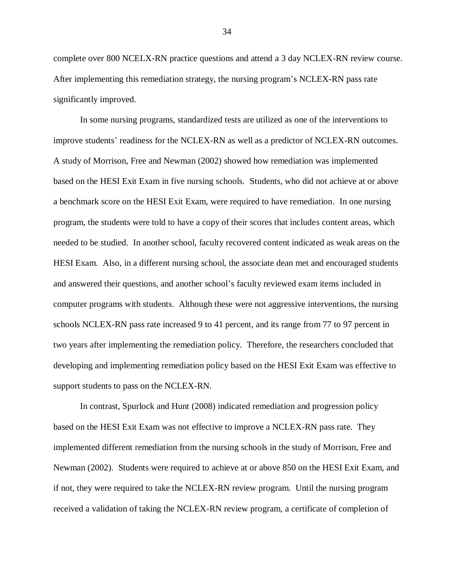complete over 800 NCELX-RN practice questions and attend a 3 day NCLEX-RN review course. After implementing this remediation strategy, the nursing program's NCLEX-RN pass rate significantly improved.

In some nursing programs, standardized tests are utilized as one of the interventions to improve students' readiness for the NCLEX-RN as well as a predictor of NCLEX-RN outcomes. A study of Morrison, Free and Newman (2002) showed how remediation was implemented based on the HESI Exit Exam in five nursing schools. Students, who did not achieve at or above a benchmark score on the HESI Exit Exam, were required to have remediation. In one nursing program, the students were told to have a copy of their scores that includes content areas, which needed to be studied. In another school, faculty recovered content indicated as weak areas on the HESI Exam. Also, in a different nursing school, the associate dean met and encouraged students and answered their questions, and another school's faculty reviewed exam items included in computer programs with students. Although these were not aggressive interventions, the nursing schools NCLEX-RN pass rate increased 9 to 41 percent, and its range from 77 to 97 percent in two years after implementing the remediation policy. Therefore, the researchers concluded that developing and implementing remediation policy based on the HESI Exit Exam was effective to support students to pass on the NCLEX-RN.

In contrast, Spurlock and Hunt (2008) indicated remediation and progression policy based on the HESI Exit Exam was not effective to improve a NCLEX-RN pass rate. They implemented different remediation from the nursing schools in the study of Morrison, Free and Newman (2002). Students were required to achieve at or above 850 on the HESI Exit Exam, and if not, they were required to take the NCLEX-RN review program. Until the nursing program received a validation of taking the NCLEX-RN review program, a certificate of completion of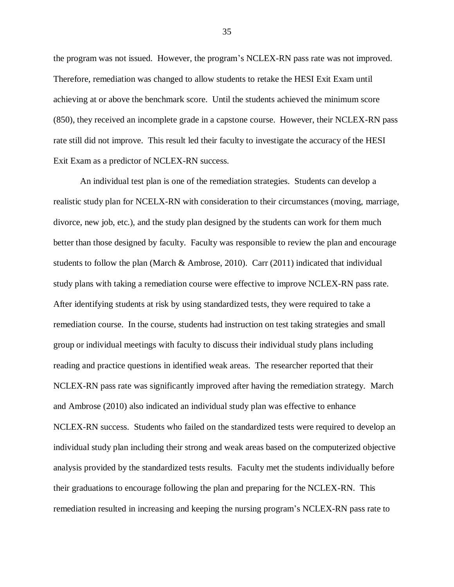the program was not issued. However, the program's NCLEX-RN pass rate was not improved. Therefore, remediation was changed to allow students to retake the HESI Exit Exam until achieving at or above the benchmark score. Until the students achieved the minimum score (850), they received an incomplete grade in a capstone course. However, their NCLEX-RN pass rate still did not improve. This result led their faculty to investigate the accuracy of the HESI Exit Exam as a predictor of NCLEX-RN success.

An individual test plan is one of the remediation strategies. Students can develop a realistic study plan for NCELX-RN with consideration to their circumstances (moving, marriage, divorce, new job, etc.), and the study plan designed by the students can work for them much better than those designed by faculty. Faculty was responsible to review the plan and encourage students to follow the plan (March & Ambrose, 2010). Carr (2011) indicated that individual study plans with taking a remediation course were effective to improve NCLEX-RN pass rate. After identifying students at risk by using standardized tests, they were required to take a remediation course. In the course, students had instruction on test taking strategies and small group or individual meetings with faculty to discuss their individual study plans including reading and practice questions in identified weak areas. The researcher reported that their NCLEX-RN pass rate was significantly improved after having the remediation strategy. March and Ambrose (2010) also indicated an individual study plan was effective to enhance NCLEX-RN success. Students who failed on the standardized tests were required to develop an individual study plan including their strong and weak areas based on the computerized objective analysis provided by the standardized tests results. Faculty met the students individually before their graduations to encourage following the plan and preparing for the NCLEX-RN. This remediation resulted in increasing and keeping the nursing program's NCLEX-RN pass rate to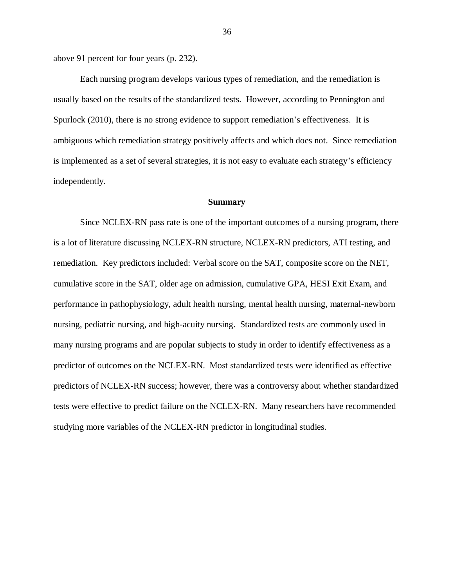above 91 percent for four years (p. 232).

Each nursing program develops various types of remediation, and the remediation is usually based on the results of the standardized tests. However, according to Pennington and Spurlock (2010), there is no strong evidence to support remediation's effectiveness. It is ambiguous which remediation strategy positively affects and which does not. Since remediation is implemented as a set of several strategies, it is not easy to evaluate each strategy's efficiency independently.

#### **Summary**

Since NCLEX-RN pass rate is one of the important outcomes of a nursing program, there is a lot of literature discussing NCLEX-RN structure, NCLEX-RN predictors, ATI testing, and remediation. Key predictors included: Verbal score on the SAT, composite score on the NET, cumulative score in the SAT, older age on admission, cumulative GPA, HESI Exit Exam, and performance in pathophysiology, adult health nursing, mental health nursing, maternal-newborn nursing, pediatric nursing, and high-acuity nursing. Standardized tests are commonly used in many nursing programs and are popular subjects to study in order to identify effectiveness as a predictor of outcomes on the NCLEX-RN. Most standardized tests were identified as effective predictors of NCLEX-RN success; however, there was a controversy about whether standardized tests were effective to predict failure on the NCLEX-RN. Many researchers have recommended studying more variables of the NCLEX-RN predictor in longitudinal studies.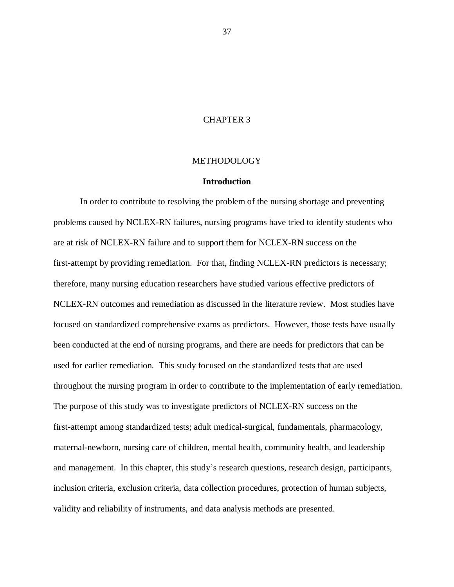# CHAPTER 3

## METHODOLOGY

## **Introduction**

In order to contribute to resolving the problem of the nursing shortage and preventing problems caused by NCLEX-RN failures, nursing programs have tried to identify students who are at risk of NCLEX-RN failure and to support them for NCLEX-RN success on the first-attempt by providing remediation. For that, finding NCLEX-RN predictors is necessary; therefore, many nursing education researchers have studied various effective predictors of NCLEX-RN outcomes and remediation as discussed in the literature review. Most studies have focused on standardized comprehensive exams as predictors. However, those tests have usually been conducted at the end of nursing programs, and there are needs for predictors that can be used for earlier remediation. This study focused on the standardized tests that are used throughout the nursing program in order to contribute to the implementation of early remediation. The purpose of this study was to investigate predictors of NCLEX-RN success on the first-attempt among standardized tests; adult medical-surgical, fundamentals, pharmacology, maternal-newborn, nursing care of children, mental health, community health, and leadership and management. In this chapter, this study's research questions, research design, participants, inclusion criteria, exclusion criteria, data collection procedures, protection of human subjects, validity and reliability of instruments, and data analysis methods are presented.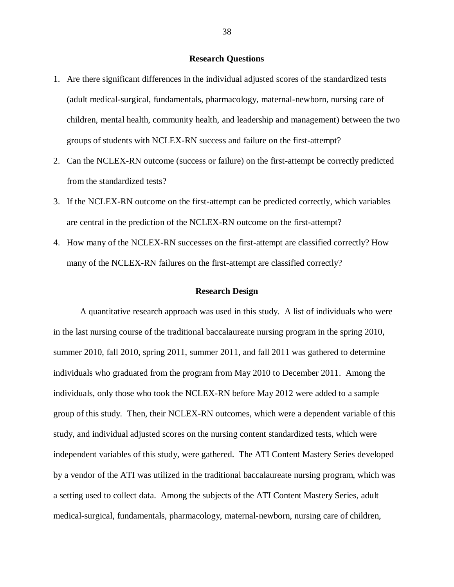## **Research Questions**

- 1. Are there significant differences in the individual adjusted scores of the standardized tests (adult medical-surgical, fundamentals, pharmacology, maternal-newborn, nursing care of children, mental health, community health, and leadership and management) between the two groups of students with NCLEX-RN success and failure on the first-attempt?
- 2. Can the NCLEX-RN outcome (success or failure) on the first-attempt be correctly predicted from the standardized tests?
- 3. If the NCLEX-RN outcome on the first-attempt can be predicted correctly, which variables are central in the prediction of the NCLEX-RN outcome on the first-attempt?
- 4. How many of the NCLEX-RN successes on the first-attempt are classified correctly? How many of the NCLEX-RN failures on the first-attempt are classified correctly?

#### **Research Design**

A quantitative research approach was used in this study. A list of individuals who were in the last nursing course of the traditional baccalaureate nursing program in the spring 2010, summer 2010, fall 2010, spring 2011, summer 2011, and fall 2011 was gathered to determine individuals who graduated from the program from May 2010 to December 2011. Among the individuals, only those who took the NCLEX-RN before May 2012 were added to a sample group of this study. Then, their NCLEX-RN outcomes, which were a dependent variable of this study, and individual adjusted scores on the nursing content standardized tests, which were independent variables of this study, were gathered. The ATI Content Mastery Series developed by a vendor of the ATI was utilized in the traditional baccalaureate nursing program, which was a setting used to collect data. Among the subjects of the ATI Content Mastery Series, adult medical-surgical, fundamentals, pharmacology, maternal-newborn, nursing care of children,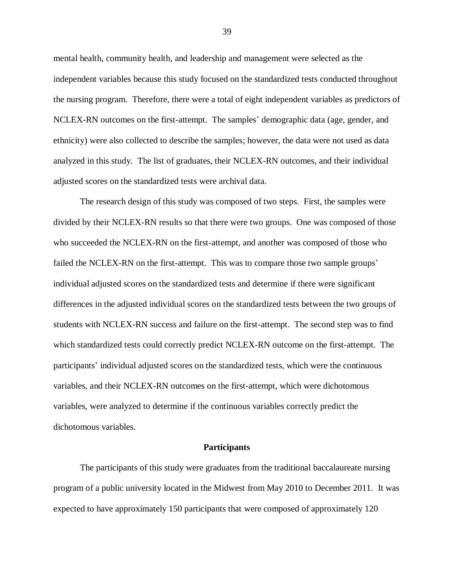mental health, community health, and leadership and management were selected as the independent variables because this study focused on the standardized tests conducted throughout the nursing program. Therefore, there were a total of eight independent variables as predictors of NCLEX-RN outcomes on the first-attempt. The samples' demographic data (age, gender, and ethnicity) were also collected to describe the samples; however, the data were not used as data analyzed in this study. The list of graduates, their NCLEX-RN outcomes, and their individual adjusted scores on the standardized tests were archival data.

The research design of this study was composed of two steps. First, the samples were divided by their NCLEX-RN results so that there were two groups. One was composed of those who succeeded the NCLEX-RN on the first-attempt, and another was composed of those who failed the NCLEX-RN on the first-attempt. This was to compare those two sample groups' individual adjusted scores on the standardized tests and determine if there were significant differences in the adjusted individual scores on the standardized tests between the two groups of students with NCLEX-RN success and failure on the first-attempt. The second step was to find which standardized tests could correctly predict NCLEX-RN outcome on the first-attempt. The participants' individual adjusted scores on the standardized tests, which were the continuous variables, and their NCLEX-RN outcomes on the first-attempt, which were dichotomous variables, were analyzed to determine if the continuous variables correctly predict the dichotomous variables.

## **Participants**

The participants of this study were graduates from the traditional baccalaureate nursing program of a public university located in the Midwest from May 2010 to December 2011. It was expected to have approximately 150 participants that were composed of approximately 120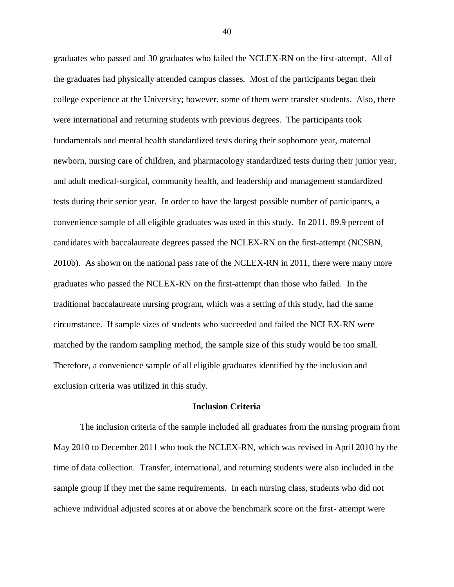graduates who passed and 30 graduates who failed the NCLEX-RN on the first-attempt. All of the graduates had physically attended campus classes. Most of the participants began their college experience at the University; however, some of them were transfer students. Also, there were international and returning students with previous degrees. The participants took fundamentals and mental health standardized tests during their sophomore year, maternal newborn, nursing care of children, and pharmacology standardized tests during their junior year, and adult medical-surgical, community health, and leadership and management standardized tests during their senior year. In order to have the largest possible number of participants, a convenience sample of all eligible graduates was used in this study. In 2011, 89.9 percent of candidates with baccalaureate degrees passed the NCLEX-RN on the first-attempt (NCSBN, 2010b). As shown on the national pass rate of the NCLEX-RN in 2011, there were many more graduates who passed the NCLEX-RN on the first-attempt than those who failed. In the traditional baccalaureate nursing program, which was a setting of this study, had the same circumstance. If sample sizes of students who succeeded and failed the NCLEX-RN were matched by the random sampling method, the sample size of this study would be too small. Therefore, a convenience sample of all eligible graduates identified by the inclusion and exclusion criteria was utilized in this study.

## **Inclusion Criteria**

The inclusion criteria of the sample included all graduates from the nursing program from May 2010 to December 2011 who took the NCLEX-RN, which was revised in April 2010 by the time of data collection. Transfer, international, and returning students were also included in the sample group if they met the same requirements. In each nursing class, students who did not achieve individual adjusted scores at or above the benchmark score on the first- attempt were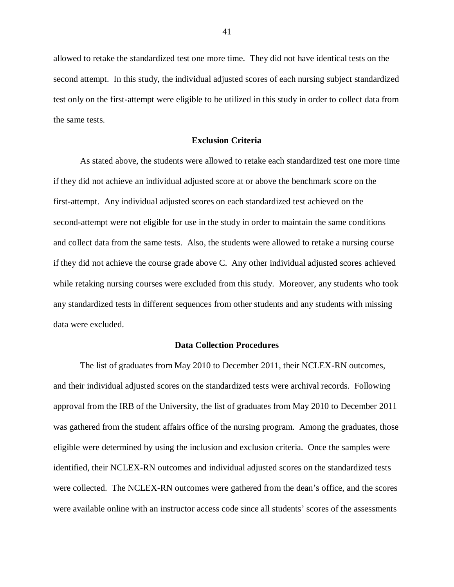allowed to retake the standardized test one more time. They did not have identical tests on the second attempt. In this study, the individual adjusted scores of each nursing subject standardized test only on the first-attempt were eligible to be utilized in this study in order to collect data from the same tests.

## **Exclusion Criteria**

As stated above, the students were allowed to retake each standardized test one more time if they did not achieve an individual adjusted score at or above the benchmark score on the first-attempt. Any individual adjusted scores on each standardized test achieved on the second-attempt were not eligible for use in the study in order to maintain the same conditions and collect data from the same tests. Also, the students were allowed to retake a nursing course if they did not achieve the course grade above C. Any other individual adjusted scores achieved while retaking nursing courses were excluded from this study. Moreover, any students who took any standardized tests in different sequences from other students and any students with missing data were excluded.

## **Data Collection Procedures**

The list of graduates from May 2010 to December 2011, their NCLEX-RN outcomes, and their individual adjusted scores on the standardized tests were archival records. Following approval from the IRB of the University, the list of graduates from May 2010 to December 2011 was gathered from the student affairs office of the nursing program. Among the graduates, those eligible were determined by using the inclusion and exclusion criteria. Once the samples were identified, their NCLEX-RN outcomes and individual adjusted scores on the standardized tests were collected. The NCLEX-RN outcomes were gathered from the dean's office, and the scores were available online with an instructor access code since all students' scores of the assessments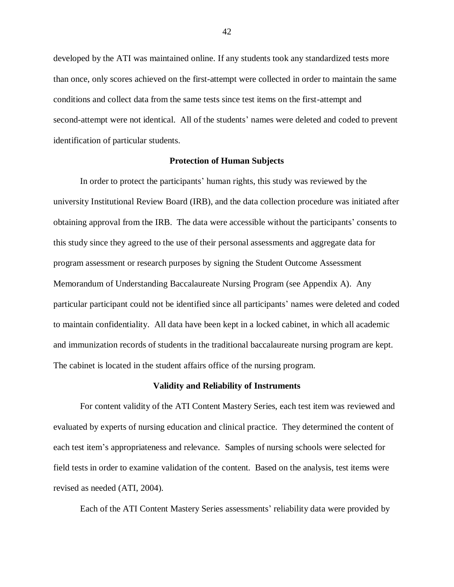developed by the ATI was maintained online. If any students took any standardized tests more than once, only scores achieved on the first-attempt were collected in order to maintain the same conditions and collect data from the same tests since test items on the first-attempt and second-attempt were not identical. All of the students' names were deleted and coded to prevent identification of particular students.

## **Protection of Human Subjects**

In order to protect the participants' human rights, this study was reviewed by the university Institutional Review Board (IRB), and the data collection procedure was initiated after obtaining approval from the IRB. The data were accessible without the participants' consents to this study since they agreed to the use of their personal assessments and aggregate data for program assessment or research purposes by signing the Student Outcome Assessment Memorandum of Understanding Baccalaureate Nursing Program (see Appendix A). Any particular participant could not be identified since all participants' names were deleted and coded to maintain confidentiality. All data have been kept in a locked cabinet, in which all academic and immunization records of students in the traditional baccalaureate nursing program are kept. The cabinet is located in the student affairs office of the nursing program.

## **Validity and Reliability of Instruments**

For content validity of the ATI Content Mastery Series, each test item was reviewed and evaluated by experts of nursing education and clinical practice. They determined the content of each test item's appropriateness and relevance. Samples of nursing schools were selected for field tests in order to examine validation of the content. Based on the analysis, test items were revised as needed (ATI, 2004).

Each of the ATI Content Mastery Series assessments' reliability data were provided by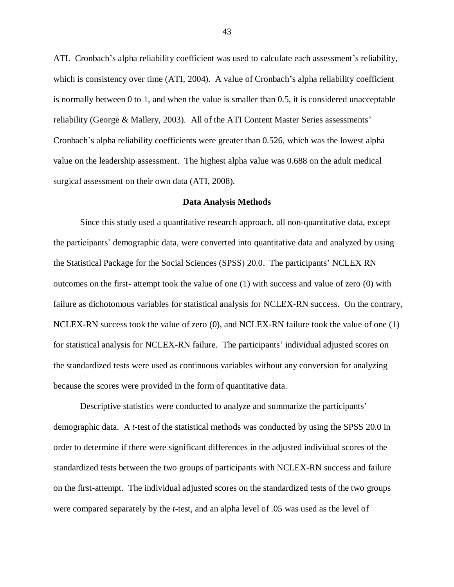ATI. Cronbach's alpha reliability coefficient was used to calculate each assessment's reliability, which is consistency over time (ATI, 2004). A value of Cronbach's alpha reliability coefficient is normally between 0 to 1, and when the value is smaller than 0.5, it is considered unacceptable reliability (George & Mallery, 2003). All of the ATI Content Master Series assessments' Cronbach's alpha reliability coefficients were greater than 0.526, which was the lowest alpha value on the leadership assessment. The highest alpha value was 0.688 on the adult medical surgical assessment on their own data (ATI, 2008).

#### **Data Analysis Methods**

Since this study used a quantitative research approach, all non-quantitative data, except the participants' demographic data, were converted into quantitative data and analyzed by using the Statistical Package for the Social Sciences (SPSS) 20.0. The participants' NCLEX RN outcomes on the first- attempt took the value of one (1) with success and value of zero (0) with failure as dichotomous variables for statistical analysis for NCLEX-RN success. On the contrary, NCLEX-RN success took the value of zero (0), and NCLEX-RN failure took the value of one (1) for statistical analysis for NCLEX-RN failure. The participants' individual adjusted scores on the standardized tests were used as continuous variables without any conversion for analyzing because the scores were provided in the form of quantitative data.

Descriptive statistics were conducted to analyze and summarize the participants' demographic data. A *t*-test of the statistical methods was conducted by using the SPSS 20.0 in order to determine if there were significant differences in the adjusted individual scores of the standardized tests between the two groups of participants with NCLEX-RN success and failure on the first-attempt. The individual adjusted scores on the standardized tests of the two groups were compared separately by the *t*-test, and an alpha level of .05 was used as the level of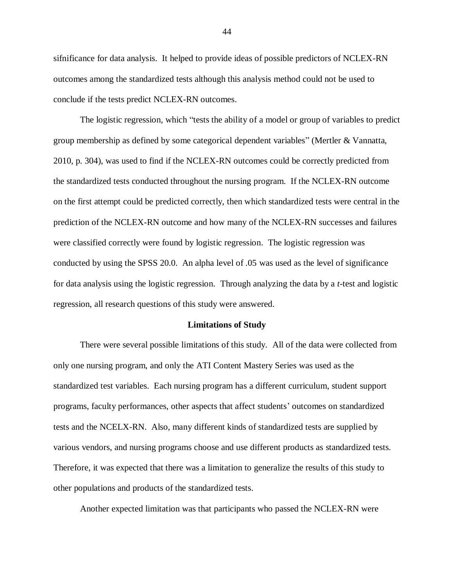sifnificance for data analysis. It helped to provide ideas of possible predictors of NCLEX-RN outcomes among the standardized tests although this analysis method could not be used to conclude if the tests predict NCLEX-RN outcomes.

The logistic regression, which "tests the ability of a model or group of variables to predict group membership as defined by some categorical dependent variables" (Mertler & Vannatta, 2010, p. 304), was used to find if the NCLEX-RN outcomes could be correctly predicted from the standardized tests conducted throughout the nursing program. If the NCLEX-RN outcome on the first attempt could be predicted correctly, then which standardized tests were central in the prediction of the NCLEX-RN outcome and how many of the NCLEX-RN successes and failures were classified correctly were found by logistic regression. The logistic regression was conducted by using the SPSS 20.0. An alpha level of .05 was used as the level of significance for data analysis using the logistic regression. Through analyzing the data by a *t*-test and logistic regression, all research questions of this study were answered.

#### **Limitations of Study**

There were several possible limitations of this study. All of the data were collected from only one nursing program, and only the ATI Content Mastery Series was used as the standardized test variables. Each nursing program has a different curriculum, student support programs, faculty performances, other aspects that affect students' outcomes on standardized tests and the NCELX-RN. Also, many different kinds of standardized tests are supplied by various vendors, and nursing programs choose and use different products as standardized tests. Therefore, it was expected that there was a limitation to generalize the results of this study to other populations and products of the standardized tests.

Another expected limitation was that participants who passed the NCLEX-RN were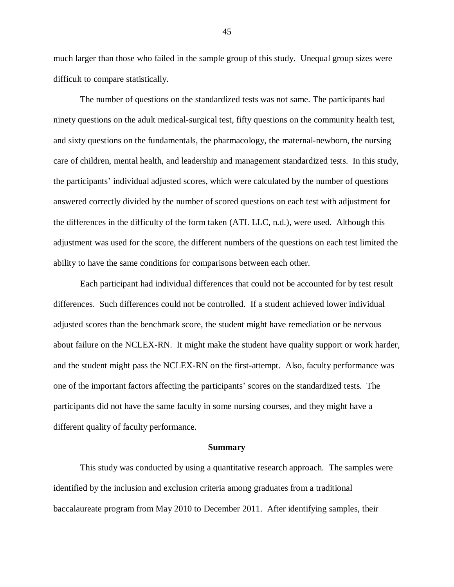much larger than those who failed in the sample group of this study. Unequal group sizes were difficult to compare statistically.

The number of questions on the standardized tests was not same. The participants had ninety questions on the adult medical-surgical test, fifty questions on the community health test, and sixty questions on the fundamentals, the pharmacology, the maternal-newborn, the nursing care of children, mental health, and leadership and management standardized tests. In this study, the participants' individual adjusted scores, which were calculated by the number of questions answered correctly divided by the number of scored questions on each test with adjustment for the differences in the difficulty of the form taken (ATI. LLC, n.d.), were used. Although this adjustment was used for the score, the different numbers of the questions on each test limited the ability to have the same conditions for comparisons between each other.

Each participant had individual differences that could not be accounted for by test result differences. Such differences could not be controlled. If a student achieved lower individual adjusted scores than the benchmark score, the student might have remediation or be nervous about failure on the NCLEX-RN. It might make the student have quality support or work harder, and the student might pass the NCLEX-RN on the first-attempt. Also, faculty performance was one of the important factors affecting the participants' scores on the standardized tests. The participants did not have the same faculty in some nursing courses, and they might have a different quality of faculty performance.

#### **Summary**

This study was conducted by using a quantitative research approach. The samples were identified by the inclusion and exclusion criteria among graduates from a traditional baccalaureate program from May 2010 to December 2011. After identifying samples, their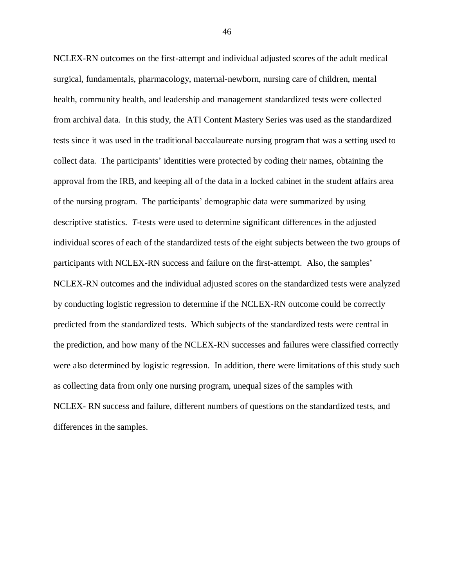NCLEX-RN outcomes on the first-attempt and individual adjusted scores of the adult medical surgical, fundamentals, pharmacology, maternal-newborn, nursing care of children, mental health, community health, and leadership and management standardized tests were collected from archival data. In this study, the ATI Content Mastery Series was used as the standardized tests since it was used in the traditional baccalaureate nursing program that was a setting used to collect data. The participants' identities were protected by coding their names, obtaining the approval from the IRB, and keeping all of the data in a locked cabinet in the student affairs area of the nursing program. The participants' demographic data were summarized by using descriptive statistics. *T*-tests were used to determine significant differences in the adjusted individual scores of each of the standardized tests of the eight subjects between the two groups of participants with NCLEX-RN success and failure on the first-attempt. Also, the samples' NCLEX-RN outcomes and the individual adjusted scores on the standardized tests were analyzed by conducting logistic regression to determine if the NCLEX-RN outcome could be correctly predicted from the standardized tests. Which subjects of the standardized tests were central in the prediction, and how many of the NCLEX-RN successes and failures were classified correctly were also determined by logistic regression. In addition, there were limitations of this study such as collecting data from only one nursing program, unequal sizes of the samples with NCLEX- RN success and failure, different numbers of questions on the standardized tests, and differences in the samples.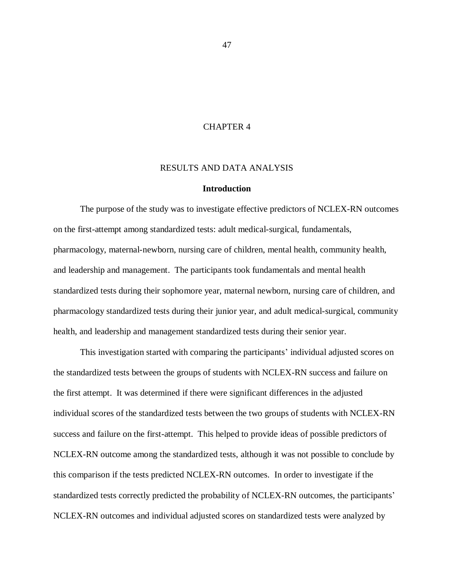# CHAPTER 4

## RESULTS AND DATA ANALYSIS

#### **Introduction**

The purpose of the study was to investigate effective predictors of NCLEX-RN outcomes on the first-attempt among standardized tests: adult medical-surgical, fundamentals, pharmacology, maternal-newborn, nursing care of children, mental health, community health, and leadership and management. The participants took fundamentals and mental health standardized tests during their sophomore year, maternal newborn, nursing care of children, and pharmacology standardized tests during their junior year, and adult medical-surgical, community health, and leadership and management standardized tests during their senior year.

This investigation started with comparing the participants' individual adjusted scores on the standardized tests between the groups of students with NCLEX-RN success and failure on the first attempt. It was determined if there were significant differences in the adjusted individual scores of the standardized tests between the two groups of students with NCLEX-RN success and failure on the first-attempt. This helped to provide ideas of possible predictors of NCLEX-RN outcome among the standardized tests, although it was not possible to conclude by this comparison if the tests predicted NCLEX-RN outcomes. In order to investigate if the standardized tests correctly predicted the probability of NCLEX-RN outcomes, the participants' NCLEX-RN outcomes and individual adjusted scores on standardized tests were analyzed by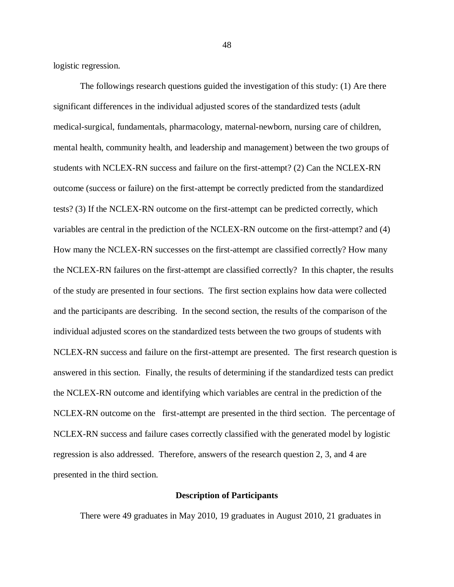logistic regression.

The followings research questions guided the investigation of this study: (1) Are there significant differences in the individual adjusted scores of the standardized tests (adult medical-surgical, fundamentals, pharmacology, maternal-newborn, nursing care of children, mental health, community health, and leadership and management) between the two groups of students with NCLEX-RN success and failure on the first-attempt? (2) Can the NCLEX-RN outcome (success or failure) on the first-attempt be correctly predicted from the standardized tests? (3) If the NCLEX-RN outcome on the first-attempt can be predicted correctly, which variables are central in the prediction of the NCLEX-RN outcome on the first-attempt? and (4) How many the NCLEX-RN successes on the first-attempt are classified correctly? How many the NCLEX-RN failures on the first-attempt are classified correctly? In this chapter, the results of the study are presented in four sections. The first section explains how data were collected and the participants are describing. In the second section, the results of the comparison of the individual adjusted scores on the standardized tests between the two groups of students with NCLEX-RN success and failure on the first-attempt are presented. The first research question is answered in this section. Finally, the results of determining if the standardized tests can predict the NCLEX-RN outcome and identifying which variables are central in the prediction of the NCLEX-RN outcome on the first-attempt are presented in the third section. The percentage of NCLEX-RN success and failure cases correctly classified with the generated model by logistic regression is also addressed. Therefore, answers of the research question 2, 3, and 4 are presented in the third section.

# **Description of Participants**

There were 49 graduates in May 2010, 19 graduates in August 2010, 21 graduates in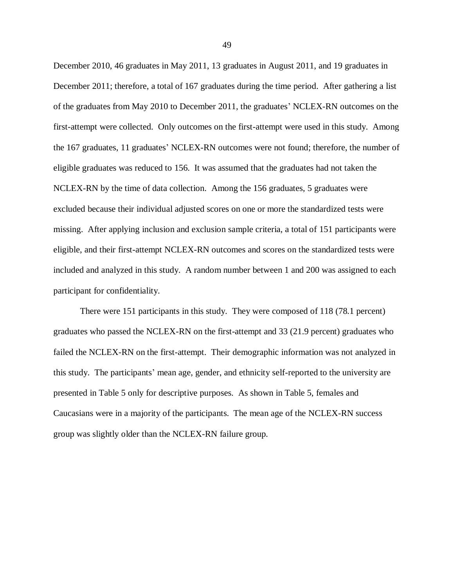December 2010, 46 graduates in May 2011, 13 graduates in August 2011, and 19 graduates in December 2011; therefore, a total of 167 graduates during the time period. After gathering a list of the graduates from May 2010 to December 2011, the graduates' NCLEX-RN outcomes on the first-attempt were collected. Only outcomes on the first-attempt were used in this study. Among the 167 graduates, 11 graduates' NCLEX-RN outcomes were not found; therefore, the number of eligible graduates was reduced to 156. It was assumed that the graduates had not taken the NCLEX-RN by the time of data collection. Among the 156 graduates, 5 graduates were excluded because their individual adjusted scores on one or more the standardized tests were missing. After applying inclusion and exclusion sample criteria, a total of 151 participants were eligible, and their first-attempt NCLEX-RN outcomes and scores on the standardized tests were included and analyzed in this study. A random number between 1 and 200 was assigned to each participant for confidentiality.

There were 151 participants in this study. They were composed of 118 (78.1 percent) graduates who passed the NCLEX-RN on the first-attempt and 33 (21.9 percent) graduates who failed the NCLEX-RN on the first-attempt. Their demographic information was not analyzed in this study. The participants' mean age, gender, and ethnicity self-reported to the university are presented in Table 5 only for descriptive purposes. As shown in Table 5, females and Caucasians were in a majority of the participants. The mean age of the NCLEX-RN success group was slightly older than the NCLEX-RN failure group.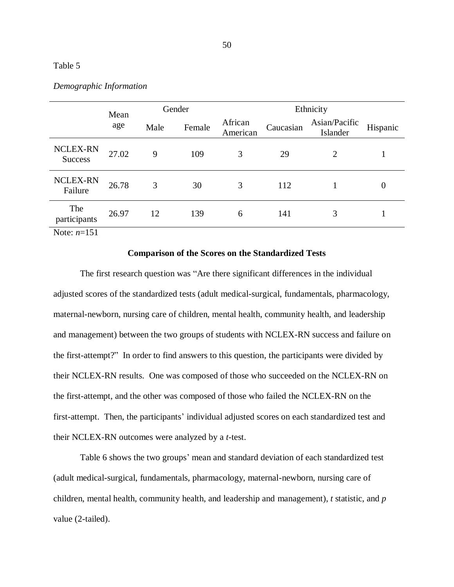# Table 5

|                                   | Mean  |      | Gender |                     | Ethnicity |                           |                  |
|-----------------------------------|-------|------|--------|---------------------|-----------|---------------------------|------------------|
|                                   | age   | Male | Female | African<br>American | Caucasian | Asian/Pacific<br>Islander | Hispanic         |
| <b>NCLEX-RN</b><br><b>Success</b> | 27.02 | 9    | 109    | 3                   | 29        | 2                         |                  |
| <b>NCLEX-RN</b><br>Failure        | 26.78 | 3    | 30     | 3                   | 112       |                           | $\boldsymbol{0}$ |
| The<br>participants               | 26.97 | 12   | 139    | 6                   | 141       | 3                         |                  |
| Note: $n=151$                     |       |      |        |                     |           |                           |                  |

## *Demographic Information*

# **Comparison of the Scores on the Standardized Tests**

The first research question was "Are there significant differences in the individual adjusted scores of the standardized tests (adult medical-surgical, fundamentals, pharmacology, maternal-newborn, nursing care of children, mental health, community health, and leadership and management) between the two groups of students with NCLEX-RN success and failure on the first-attempt?" In order to find answers to this question, the participants were divided by their NCLEX-RN results. One was composed of those who succeeded on the NCLEX-RN on the first-attempt, and the other was composed of those who failed the NCLEX-RN on the first-attempt. Then, the participants' individual adjusted scores on each standardized test and their NCLEX-RN outcomes were analyzed by a *t*-test.

Table 6 shows the two groups' mean and standard deviation of each standardized test (adult medical-surgical, fundamentals, pharmacology, maternal-newborn, nursing care of children, mental health, community health, and leadership and management), *t* statistic, and *p* value (2-tailed).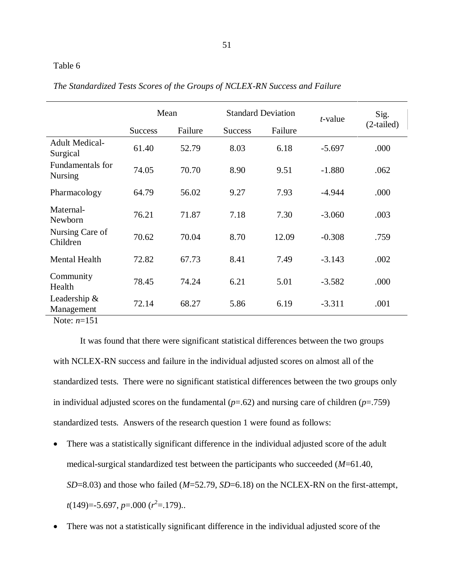51

# Table 6

|                                    | Mean           |         | <b>Standard Deviation</b> |         | $t$ -value | Sig.         |
|------------------------------------|----------------|---------|---------------------------|---------|------------|--------------|
|                                    | <b>Success</b> | Failure | <b>Success</b>            | Failure |            | $(2-tailed)$ |
| <b>Adult Medical-</b><br>Surgical  | 61.40          | 52.79   | 8.03                      | 6.18    | $-5.697$   | .000         |
| Fundamentals for<br><b>Nursing</b> | 74.05          | 70.70   | 8.90                      | 9.51    | $-1.880$   | .062         |
| Pharmacology                       | 64.79          | 56.02   | 9.27                      | 7.93    | $-4.944$   | .000         |
| Maternal-<br>Newborn               | 76.21          | 71.87   | 7.18                      | 7.30    | $-3.060$   | .003         |
| Nursing Care of<br>Children        | 70.62          | 70.04   | 8.70                      | 12.09   | $-0.308$   | .759         |
| <b>Mental Health</b>               | 72.82          | 67.73   | 8.41                      | 7.49    | $-3.143$   | .002         |
| Community<br>Health                | 78.45          | 74.24   | 6.21                      | 5.01    | $-3.582$   | .000         |
| Leadership $\&$<br>Management      | 72.14          | 68.27   | 5.86                      | 6.19    | $-3.311$   | .001         |

*The Standardized Tests Scores of the Groups of NCLEX-RN Success and Failure*

Note: *n*=151

It was found that there were significant statistical differences between the two groups with NCLEX-RN success and failure in the individual adjusted scores on almost all of the standardized tests. There were no significant statistical differences between the two groups only in individual adjusted scores on the fundamental  $(p=.62)$  and nursing care of children  $(p=.759)$ standardized tests. Answers of the research question 1 were found as follows:

- There was a statistically significant difference in the individual adjusted score of the adult medical-surgical standardized test between the participants who succeeded (*M*=61.40, *SD*=8.03) and those who failed (*M*=52.79, *SD*=6.18) on the NCLEX-RN on the first-attempt, *t*(149)=-5.697, *p*=.000 (*r* 2 =.179)..
- There was not a statistically significant difference in the individual adjusted score of the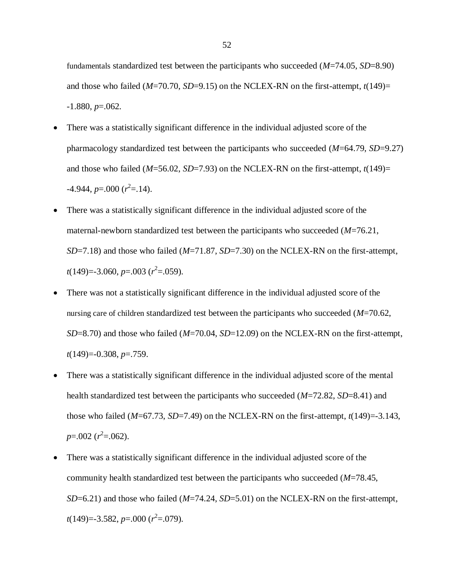fundamentals standardized test between the participants who succeeded (*M*=74.05, *SD*=8.90) and those who failed ( $M=70.70$ ,  $SD=9.15$ ) on the NCLEX-RN on the first-attempt,  $t(149)=$ -1.880, *p*=.062.

- There was a statistically significant difference in the individual adjusted score of the pharmacology standardized test between the participants who succeeded (*M*=64.79, *SD*=9.27) and those who failed (*M*=56.02, *SD*=7.93) on the NCLEX-RN on the first-attempt, *t*(149)=  $-4.944, p=0.000 (r^2=14).$
- There was a statistically significant difference in the individual adjusted score of the maternal-newborn standardized test between the participants who succeeded (*M*=76.21, *SD*=7.18) and those who failed (*M*=71.87, *SD*=7.30) on the NCLEX-RN on the first-attempt, *t*(149)=-3.060, *p*=.003 (*r*<sup>2</sup>=.059).
- There was not a statistically significant difference in the individual adjusted score of the nursing care of children standardized test between the participants who succeeded (*M*=70.62, *SD*=8.70) and those who failed (*M*=70.04, *SD*=12.09) on the NCLEX-RN on the first-attempt, *t*(149)=-0.308, *p*=.759.
- There was a statistically significant difference in the individual adjusted score of the mental health standardized test between the participants who succeeded (*M*=72.82, *SD*=8.41) and those who failed  $(M=67.73, SD=7.49)$  on the NCLEX-RN on the first-attempt,  $t(149)=3.143$ , *p*=.002 (*r*<sup>2</sup>=.062).
- There was a statistically significant difference in the individual adjusted score of the community health standardized test between the participants who succeeded (*M*=78.45, *SD*=6.21) and those who failed (*M*=74.24, *SD*=5.01) on the NCLEX-RN on the first-attempt, *t*(149)=-3.582, *p*=.000 (*r* 2 =.079).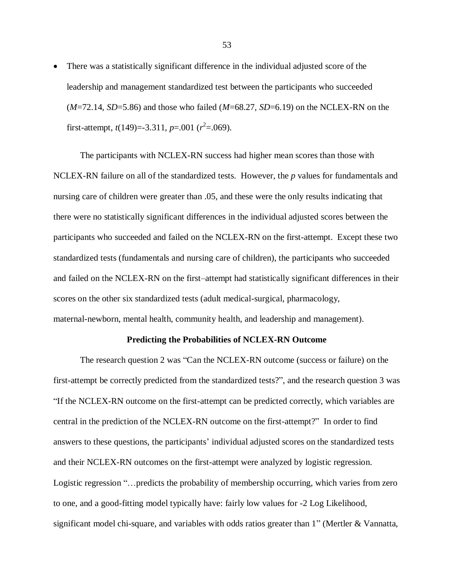There was a statistically significant difference in the individual adjusted score of the leadership and management standardized test between the participants who succeeded (*M*=72.14, *SD*=5.86) and those who failed (*M*=68.27, *SD*=6.19) on the NCLEX-RN on the first-attempt,  $t(149)=3.311$ ,  $p=.001$  ( $r^2=.069$ ).

The participants with NCLEX-RN success had higher mean scores than those with NCLEX-RN failure on all of the standardized tests. However, the *p* values for fundamentals and nursing care of children were greater than .05, and these were the only results indicating that there were no statistically significant differences in the individual adjusted scores between the participants who succeeded and failed on the NCLEX-RN on the first-attempt. Except these two standardized tests (fundamentals and nursing care of children), the participants who succeeded and failed on the NCLEX-RN on the first–attempt had statistically significant differences in their scores on the other six standardized tests (adult medical-surgical, pharmacology, maternal-newborn, mental health, community health, and leadership and management).

## **Predicting the Probabilities of NCLEX-RN Outcome**

The research question 2 was "Can the NCLEX-RN outcome (success or failure) on the first-attempt be correctly predicted from the standardized tests?", and the research question 3 was "If the NCLEX-RN outcome on the first-attempt can be predicted correctly, which variables are central in the prediction of the NCLEX-RN outcome on the first-attempt?" In order to find answers to these questions, the participants' individual adjusted scores on the standardized tests and their NCLEX-RN outcomes on the first-attempt were analyzed by logistic regression. Logistic regression "…predicts the probability of membership occurring, which varies from zero to one, and a good-fitting model typically have: fairly low values for -2 Log Likelihood, significant model chi-square, and variables with odds ratios greater than 1" (Mertler & Vannatta,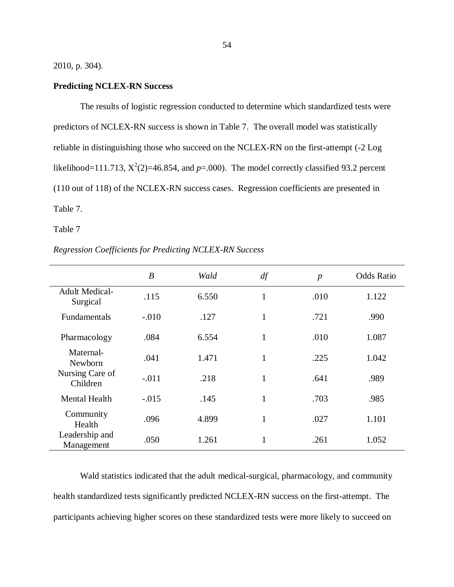2010, p. 304).

# **Predicting NCLEX-RN Success**

The results of logistic regression conducted to determine which standardized tests were predictors of NCLEX-RN success is shown in Table 7. The overall model was statistically reliable in distinguishing those who succeed on the NCLEX-RN on the first-attempt (-2 Log likelihood=111.713,  $X^2(2)$ =46.854, and  $p=0.00$ ). The model correctly classified 93.2 percent (110 out of 118) of the NCLEX-RN success cases. Regression coefficients are presented in Table 7.

Table 7

| Regression Coefficients for Predicting NCLEX-RN Success |  |  |  |  |
|---------------------------------------------------------|--|--|--|--|
|---------------------------------------------------------|--|--|--|--|

|                                   | $\boldsymbol{B}$ | Wald  | df           | $\boldsymbol{p}$ | <b>Odds Ratio</b> |
|-----------------------------------|------------------|-------|--------------|------------------|-------------------|
| <b>Adult Medical-</b><br>Surgical | .115             | 6.550 | $\mathbf{1}$ | .010             | 1.122             |
| Fundamentals                      | $-.010$          | .127  | $\mathbf{1}$ | .721             | .990              |
| Pharmacology                      | .084             | 6.554 | $\mathbf{1}$ | .010             | 1.087             |
| Maternal-<br>Newborn              | .041             | 1.471 | $\mathbf{1}$ | .225             | 1.042             |
| Nursing Care of<br>Children       | $-.011$          | .218  | 1            | .641             | .989              |
| <b>Mental Health</b>              | $-.015$          | .145  | 1            | .703             | .985              |
| Community<br>Health               | .096             | 4.899 | 1            | .027             | 1.101             |
| Leadership and<br>Management      | .050             | 1.261 | 1            | .261             | 1.052             |

Wald statistics indicated that the adult medical-surgical, pharmacology, and community health standardized tests significantly predicted NCLEX-RN success on the first-attempt. The participants achieving higher scores on these standardized tests were more likely to succeed on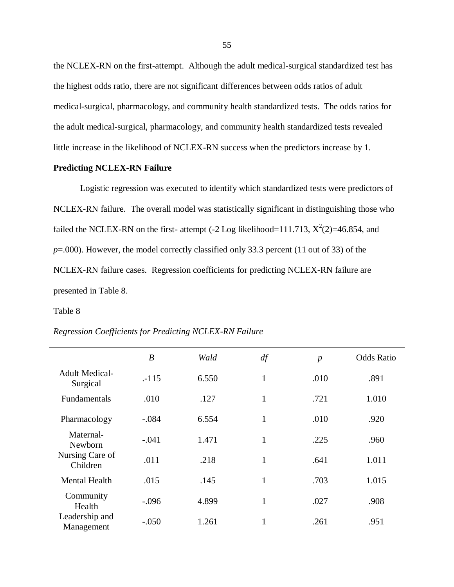the NCLEX-RN on the first-attempt. Although the adult medical-surgical standardized test has the highest odds ratio, there are not significant differences between odds ratios of adult medical-surgical, pharmacology, and community health standardized tests. The odds ratios for the adult medical-surgical, pharmacology, and community health standardized tests revealed little increase in the likelihood of NCLEX-RN success when the predictors increase by 1.

# **Predicting NCLEX-RN Failure**

Logistic regression was executed to identify which standardized tests were predictors of NCLEX-RN failure. The overall model was statistically significant in distinguishing those who failed the NCLEX-RN on the first- attempt  $(-2 \text{ Log likelihood} = 111.713, X^2(2) = 46.854,$  and *p*=.000). However, the model correctly classified only 33.3 percent (11 out of 33) of the NCLEX-RN failure cases. Regression coefficients for predicting NCLEX-RN failure are presented in Table 8.

Table 8

|                                   | $\boldsymbol{B}$ | Wald  | df           | $\boldsymbol{p}$ | <b>Odds Ratio</b> |
|-----------------------------------|------------------|-------|--------------|------------------|-------------------|
| <b>Adult Medical-</b><br>Surgical | $-115$           | 6.550 | 1            | .010             | .891              |
| Fundamentals                      | .010             | .127  | $\mathbf{1}$ | .721             | 1.010             |
| Pharmacology                      | $-.084$          | 6.554 | $\mathbf{1}$ | .010             | .920              |
| Maternal-<br>Newborn              | $-.041$          | 1.471 | 1            | .225             | .960              |
| Nursing Care of<br>Children       | .011             | .218  | $\mathbf{1}$ | .641             | 1.011             |
| <b>Mental Health</b>              | .015             | .145  | 1            | .703             | 1.015             |
| Community<br>Health               | $-.096$          | 4.899 | 1            | .027             | .908              |
| Leadership and<br>Management      | $-.050$          | 1.261 |              | .261             | .951              |

*Regression Coefficients for Predicting NCLEX-RN Failure*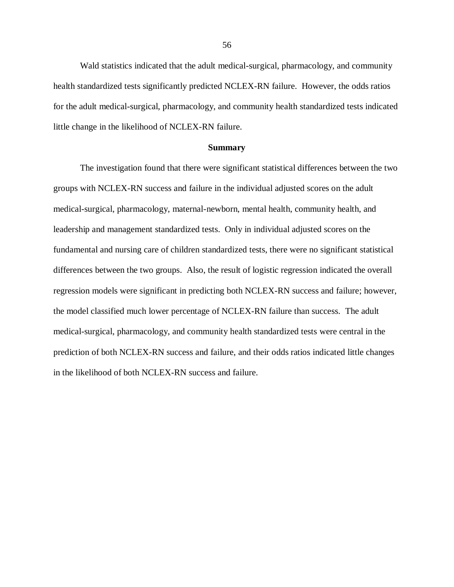Wald statistics indicated that the adult medical-surgical, pharmacology, and community health standardized tests significantly predicted NCLEX-RN failure. However, the odds ratios for the adult medical-surgical, pharmacology, and community health standardized tests indicated little change in the likelihood of NCLEX-RN failure.

## **Summary**

The investigation found that there were significant statistical differences between the two groups with NCLEX-RN success and failure in the individual adjusted scores on the adult medical-surgical, pharmacology, maternal-newborn, mental health, community health, and leadership and management standardized tests. Only in individual adjusted scores on the fundamental and nursing care of children standardized tests, there were no significant statistical differences between the two groups. Also, the result of logistic regression indicated the overall regression models were significant in predicting both NCLEX-RN success and failure; however, the model classified much lower percentage of NCLEX-RN failure than success. The adult medical-surgical, pharmacology, and community health standardized tests were central in the prediction of both NCLEX-RN success and failure, and their odds ratios indicated little changes in the likelihood of both NCLEX-RN success and failure.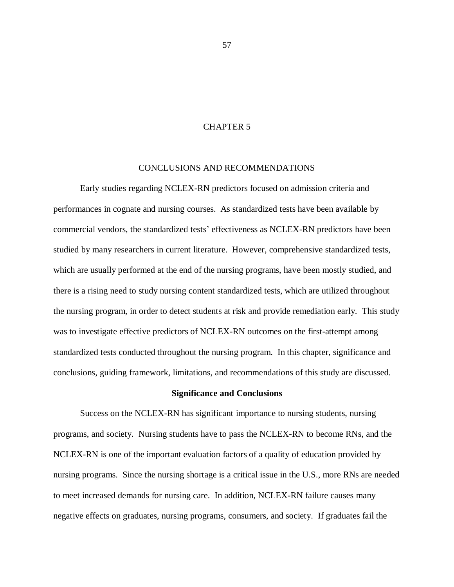# CHAPTER 5

# CONCLUSIONS AND RECOMMENDATIONS

Early studies regarding NCLEX-RN predictors focused on admission criteria and performances in cognate and nursing courses. As standardized tests have been available by commercial vendors, the standardized tests' effectiveness as NCLEX-RN predictors have been studied by many researchers in current literature. However, comprehensive standardized tests, which are usually performed at the end of the nursing programs, have been mostly studied, and there is a rising need to study nursing content standardized tests, which are utilized throughout the nursing program, in order to detect students at risk and provide remediation early. This study was to investigate effective predictors of NCLEX-RN outcomes on the first-attempt among standardized tests conducted throughout the nursing program. In this chapter, significance and conclusions, guiding framework, limitations, and recommendations of this study are discussed.

# **Significance and Conclusions**

Success on the NCLEX-RN has significant importance to nursing students, nursing programs, and society. Nursing students have to pass the NCLEX-RN to become RNs, and the NCLEX-RN is one of the important evaluation factors of a quality of education provided by nursing programs. Since the nursing shortage is a critical issue in the U.S., more RNs are needed to meet increased demands for nursing care. In addition, NCLEX-RN failure causes many negative effects on graduates, nursing programs, consumers, and society. If graduates fail the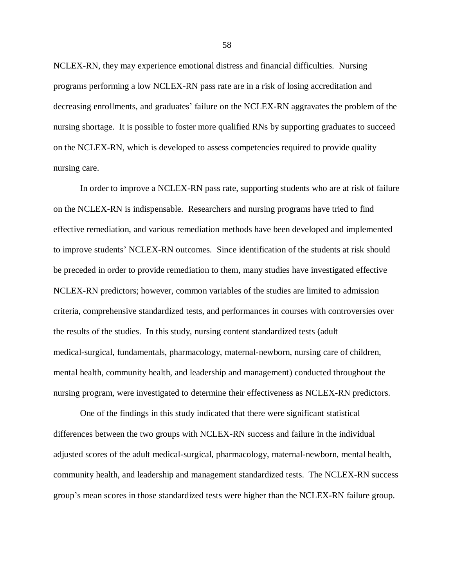NCLEX-RN, they may experience emotional distress and financial difficulties. Nursing programs performing a low NCLEX-RN pass rate are in a risk of losing accreditation and decreasing enrollments, and graduates' failure on the NCLEX-RN aggravates the problem of the nursing shortage. It is possible to foster more qualified RNs by supporting graduates to succeed on the NCLEX-RN, which is developed to assess competencies required to provide quality nursing care.

In order to improve a NCLEX-RN pass rate, supporting students who are at risk of failure on the NCLEX-RN is indispensable. Researchers and nursing programs have tried to find effective remediation, and various remediation methods have been developed and implemented to improve students' NCLEX-RN outcomes. Since identification of the students at risk should be preceded in order to provide remediation to them, many studies have investigated effective NCLEX-RN predictors; however, common variables of the studies are limited to admission criteria, comprehensive standardized tests, and performances in courses with controversies over the results of the studies. In this study, nursing content standardized tests (adult medical-surgical, fundamentals, pharmacology, maternal-newborn, nursing care of children, mental health, community health, and leadership and management) conducted throughout the nursing program, were investigated to determine their effectiveness as NCLEX-RN predictors.

One of the findings in this study indicated that there were significant statistical differences between the two groups with NCLEX-RN success and failure in the individual adjusted scores of the adult medical-surgical, pharmacology, maternal-newborn, mental health, community health, and leadership and management standardized tests. The NCLEX-RN success group's mean scores in those standardized tests were higher than the NCLEX-RN failure group.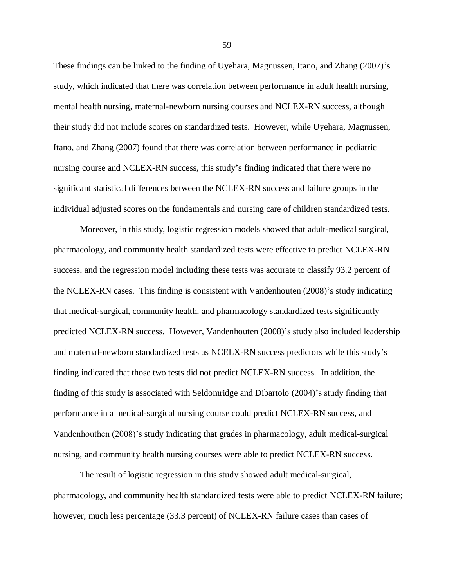These findings can be linked to the finding of Uyehara, Magnussen, Itano, and Zhang (2007)'s study, which indicated that there was correlation between performance in adult health nursing, mental health nursing, maternal-newborn nursing courses and NCLEX-RN success, although their study did not include scores on standardized tests. However, while Uyehara, Magnussen, Itano, and Zhang (2007) found that there was correlation between performance in pediatric nursing course and NCLEX-RN success, this study's finding indicated that there were no significant statistical differences between the NCLEX-RN success and failure groups in the individual adjusted scores on the fundamentals and nursing care of children standardized tests.

Moreover, in this study, logistic regression models showed that adult-medical surgical, pharmacology, and community health standardized tests were effective to predict NCLEX-RN success, and the regression model including these tests was accurate to classify 93.2 percent of the NCLEX-RN cases. This finding is consistent with Vandenhouten (2008)'s study indicating that medical-surgical, community health, and pharmacology standardized tests significantly predicted NCLEX-RN success. However, Vandenhouten (2008)'s study also included leadership and maternal-newborn standardized tests as NCELX-RN success predictors while this study's finding indicated that those two tests did not predict NCLEX-RN success. In addition, the finding of this study is associated with Seldomridge and Dibartolo (2004)'s study finding that performance in a medical-surgical nursing course could predict NCLEX-RN success, and Vandenhouthen (2008)'s study indicating that grades in pharmacology, adult medical-surgical nursing, and community health nursing courses were able to predict NCLEX-RN success.

The result of logistic regression in this study showed adult medical-surgical, pharmacology, and community health standardized tests were able to predict NCLEX-RN failure; however, much less percentage (33.3 percent) of NCLEX-RN failure cases than cases of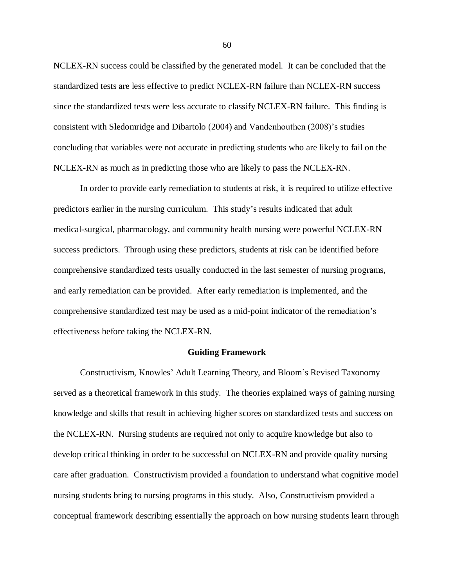NCLEX-RN success could be classified by the generated model. It can be concluded that the standardized tests are less effective to predict NCLEX-RN failure than NCLEX-RN success since the standardized tests were less accurate to classify NCLEX-RN failure. This finding is consistent with Sledomridge and Dibartolo (2004) and Vandenhouthen (2008)'s studies concluding that variables were not accurate in predicting students who are likely to fail on the NCLEX-RN as much as in predicting those who are likely to pass the NCLEX-RN.

In order to provide early remediation to students at risk, it is required to utilize effective predictors earlier in the nursing curriculum. This study's results indicated that adult medical-surgical, pharmacology, and community health nursing were powerful NCLEX-RN success predictors. Through using these predictors, students at risk can be identified before comprehensive standardized tests usually conducted in the last semester of nursing programs, and early remediation can be provided. After early remediation is implemented, and the comprehensive standardized test may be used as a mid-point indicator of the remediation's effectiveness before taking the NCLEX-RN.

# **Guiding Framework**

Constructivism, Knowles' Adult Learning Theory, and Bloom's Revised Taxonomy served as a theoretical framework in this study. The theories explained ways of gaining nursing knowledge and skills that result in achieving higher scores on standardized tests and success on the NCLEX-RN. Nursing students are required not only to acquire knowledge but also to develop critical thinking in order to be successful on NCLEX-RN and provide quality nursing care after graduation. Constructivism provided a foundation to understand what cognitive model nursing students bring to nursing programs in this study. Also, Constructivism provided a conceptual framework describing essentially the approach on how nursing students learn through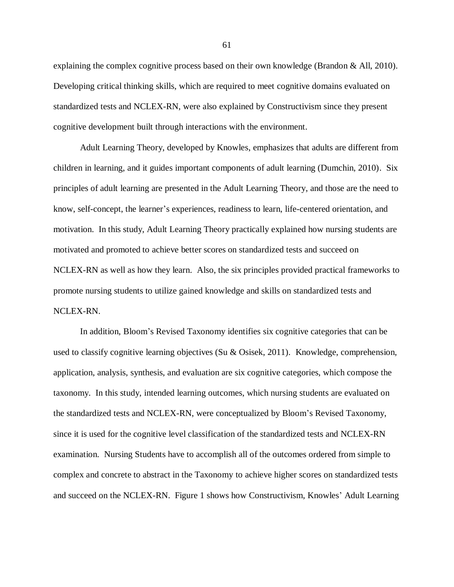explaining the complex cognitive process based on their own knowledge (Brandon & All, 2010). Developing critical thinking skills, which are required to meet cognitive domains evaluated on standardized tests and NCLEX-RN, were also explained by Constructivism since they present cognitive development built through interactions with the environment.

Adult Learning Theory, developed by Knowles, emphasizes that adults are different from children in learning, and it guides important components of adult learning (Dumchin, 2010). Six principles of adult learning are presented in the Adult Learning Theory, and those are the need to know, self-concept, the learner's experiences, readiness to learn, life-centered orientation, and motivation. In this study, Adult Learning Theory practically explained how nursing students are motivated and promoted to achieve better scores on standardized tests and succeed on NCLEX-RN as well as how they learn. Also, the six principles provided practical frameworks to promote nursing students to utilize gained knowledge and skills on standardized tests and NCLEX-RN.

In addition, Bloom's Revised Taxonomy identifies six cognitive categories that can be used to classify cognitive learning objectives (Su & Osisek, 2011). Knowledge, comprehension, application, analysis, synthesis, and evaluation are six cognitive categories, which compose the taxonomy. In this study, intended learning outcomes, which nursing students are evaluated on the standardized tests and NCLEX-RN, were conceptualized by Bloom's Revised Taxonomy, since it is used for the cognitive level classification of the standardized tests and NCLEX-RN examination. Nursing Students have to accomplish all of the outcomes ordered from simple to complex and concrete to abstract in the Taxonomy to achieve higher scores on standardized tests and succeed on the NCLEX-RN. Figure 1 shows how Constructivism, Knowles' Adult Learning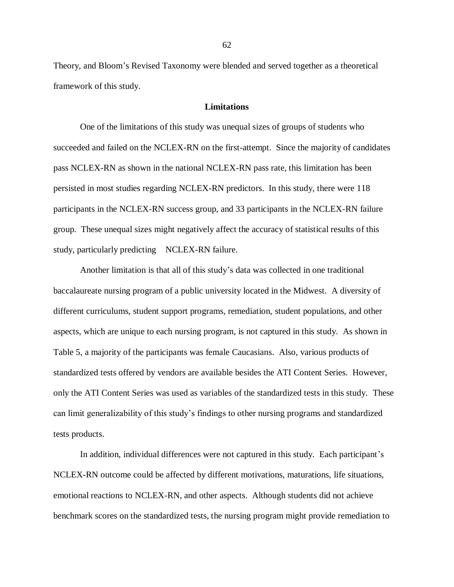Theory, and Bloom's Revised Taxonomy were blended and served together as a theoretical framework of this study.

### **Limitations**

One of the limitations of this study was unequal sizes of groups of students who succeeded and failed on the NCLEX-RN on the first-attempt. Since the majority of candidates pass NCLEX-RN as shown in the national NCLEX-RN pass rate, this limitation has been persisted in most studies regarding NCLEX-RN predictors. In this study, there were 118 participants in the NCLEX-RN success group, and 33 participants in the NCLEX-RN failure group. These unequal sizes might negatively affect the accuracy of statistical results of this study, particularly predicting NCLEX-RN failure.

Another limitation is that all of this study's data was collected in one traditional baccalaureate nursing program of a public university located in the Midwest. A diversity of different curriculums, student support programs, remediation, student populations, and other aspects, which are unique to each nursing program, is not captured in this study. As shown in Table 5, a majority of the participants was female Caucasians. Also, various products of standardized tests offered by vendors are available besides the ATI Content Series. However, only the ATI Content Series was used as variables of the standardized tests in this study. These can limit generalizability of this study's findings to other nursing programs and standardized tests products.

In addition, individual differences were not captured in this study. Each participant's NCLEX-RN outcome could be affected by different motivations, maturations, life situations, emotional reactions to NCLEX-RN, and other aspects. Although students did not achieve benchmark scores on the standardized tests, the nursing program might provide remediation to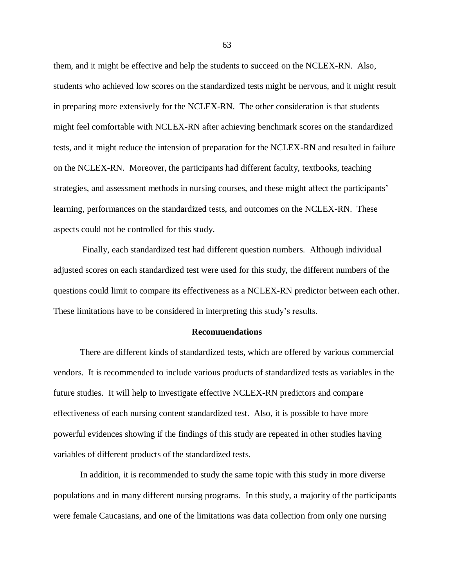them, and it might be effective and help the students to succeed on the NCLEX-RN. Also, students who achieved low scores on the standardized tests might be nervous, and it might result in preparing more extensively for the NCLEX-RN. The other consideration is that students might feel comfortable with NCLEX-RN after achieving benchmark scores on the standardized tests, and it might reduce the intension of preparation for the NCLEX-RN and resulted in failure on the NCLEX-RN. Moreover, the participants had different faculty, textbooks, teaching strategies, and assessment methods in nursing courses, and these might affect the participants' learning, performances on the standardized tests, and outcomes on the NCLEX-RN. These aspects could not be controlled for this study.

Finally, each standardized test had different question numbers. Although individual adjusted scores on each standardized test were used for this study, the different numbers of the questions could limit to compare its effectiveness as a NCLEX-RN predictor between each other. These limitations have to be considered in interpreting this study's results.

### **Recommendations**

There are different kinds of standardized tests, which are offered by various commercial vendors. It is recommended to include various products of standardized tests as variables in the future studies. It will help to investigate effective NCLEX-RN predictors and compare effectiveness of each nursing content standardized test. Also, it is possible to have more powerful evidences showing if the findings of this study are repeated in other studies having variables of different products of the standardized tests.

In addition, it is recommended to study the same topic with this study in more diverse populations and in many different nursing programs. In this study, a majority of the participants were female Caucasians, and one of the limitations was data collection from only one nursing

63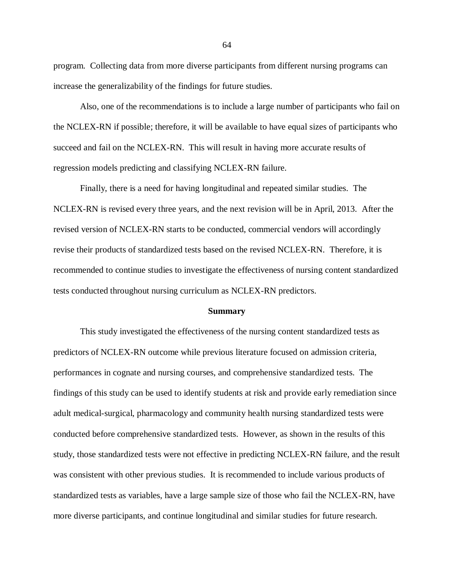program. Collecting data from more diverse participants from different nursing programs can increase the generalizability of the findings for future studies.

Also, one of the recommendations is to include a large number of participants who fail on the NCLEX-RN if possible; therefore, it will be available to have equal sizes of participants who succeed and fail on the NCLEX-RN. This will result in having more accurate results of regression models predicting and classifying NCLEX-RN failure.

Finally, there is a need for having longitudinal and repeated similar studies. The NCLEX-RN is revised every three years, and the next revision will be in April, 2013. After the revised version of NCLEX-RN starts to be conducted, commercial vendors will accordingly revise their products of standardized tests based on the revised NCLEX-RN. Therefore, it is recommended to continue studies to investigate the effectiveness of nursing content standardized tests conducted throughout nursing curriculum as NCLEX-RN predictors.

#### **Summary**

This study investigated the effectiveness of the nursing content standardized tests as predictors of NCLEX-RN outcome while previous literature focused on admission criteria, performances in cognate and nursing courses, and comprehensive standardized tests. The findings of this study can be used to identify students at risk and provide early remediation since adult medical-surgical, pharmacology and community health nursing standardized tests were conducted before comprehensive standardized tests. However, as shown in the results of this study, those standardized tests were not effective in predicting NCLEX-RN failure, and the result was consistent with other previous studies. It is recommended to include various products of standardized tests as variables, have a large sample size of those who fail the NCLEX-RN, have more diverse participants, and continue longitudinal and similar studies for future research.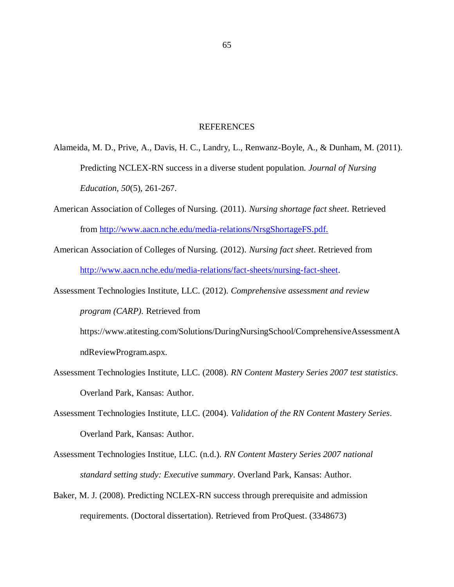### REFERENCES

- Alameida, M. D., Prive, A., Davis, H. C., Landry, L., Renwanz-Boyle, A., & Dunham, M. (2011). Predicting NCLEX-RN success in a diverse student population. *Journal of Nursing Education, 50*(5), 261-267.
- American Association of Colleges of Nursing. (2011). *Nursing shortage fact sheet*. Retrieved from [http://www.aacn.nche.edu/media-relations/NrsgShortageFS.pdf.](http://www.aacn.nche.edu/media-relations/NrsgShortageFS.pdf)
- American Association of Colleges of Nursing. (2012). *Nursing fact sheet*. Retrieved from [http://www.aacn.nche.edu/media-relations/fact-sheets/nursing-fact-sheet.](http://www.aacn.nche.edu/media-relations/fact-sheets/nursing-fact-sheet)
- Assessment Technologies Institute, LLC. (2012). *Comprehensive assessment and review program (CARP).* Retrieved from
	- https://www.atitesting.com/Solutions/DuringNursingSchool/ComprehensiveAssessmentA ndReviewProgram.aspx.
- Assessment Technologies Institute, LLC. (2008). *RN Content Mastery Series 2007 test statistics*. Overland Park, Kansas: Author.
- Assessment Technologies Institute, LLC. (2004). *Validation of the RN Content Mastery Series*. Overland Park, Kansas: Author.
- Assessment Technologies Institue, LLC. (n.d.). *RN Content Mastery Series 2007 national standard setting study: Executive summary*. Overland Park, Kansas: Author.
- Baker, M. J. (2008). Predicting NCLEX-RN success through prerequisite and admission requirements. (Doctoral dissertation). Retrieved from ProQuest. (3348673)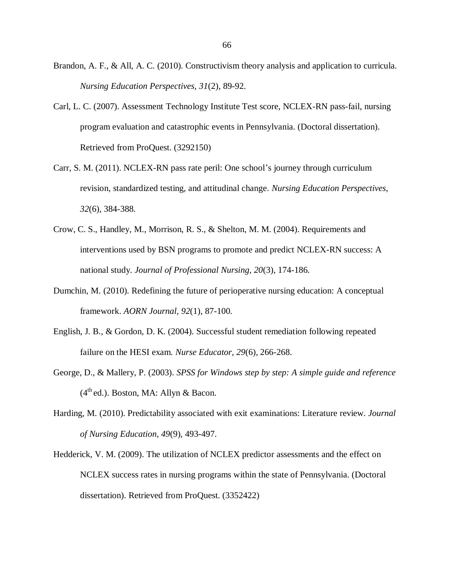- Brandon, A. F., & All, A. C. (2010). Constructivism theory analysis and application to curricula. *Nursing Education Perspectives, 31*(2), 89-92.
- Carl, L. C. (2007). Assessment Technology Institute Test score, NCLEX-RN pass-fail, nursing program evaluation and catastrophic events in Pennsylvania. (Doctoral dissertation). Retrieved from ProQuest. (3292150)
- Carr, S. M. (2011). NCLEX-RN pass rate peril: One school's journey through curriculum revision, standardized testing, and attitudinal change. *Nursing Education Perspectives, 32*(6), 384-388.
- Crow, C. S., Handley, M., Morrison, R. S., & Shelton, M. M. (2004). Requirements and interventions used by BSN programs to promote and predict NCLEX-RN success: A national study. *Journal of Professional Nursing, 20*(3), 174-186.
- Dumchin, M. (2010). Redefining the future of perioperative nursing education: A conceptual framework. *AORN Journal, 92*(1), 87-100.
- English, J. B., & Gordon, D. K. (2004). Successful student remediation following repeated failure on the HESI exam. *Nurse Educator, 29*(6), 266-268.
- George, D., & Mallery, P. (2003). *SPSS for Windows step by step: A simple guide and reference*  $(4<sup>th</sup>$ ed.). Boston, MA: Allyn & Bacon.
- Harding, M. (2010). Predictability associated with exit examinations: Literature review. *Journal of Nursing Education, 49*(9), 493-497.
- Hedderick, V. M. (2009). The utilization of NCLEX predictor assessments and the effect on NCLEX success rates in nursing programs within the state of Pennsylvania. (Doctoral dissertation). Retrieved from ProQuest. (3352422)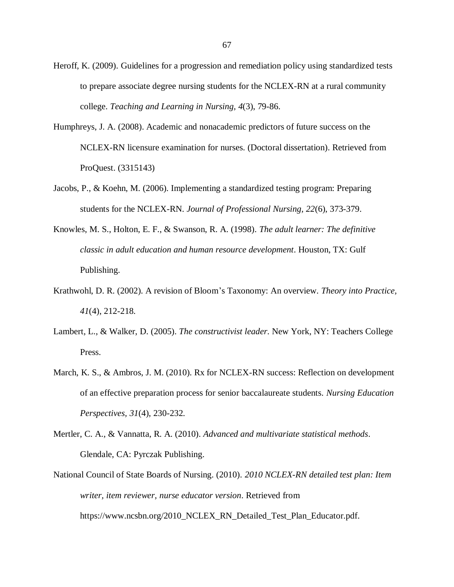- Heroff, K. (2009). Guidelines for a progression and remediation policy using standardized tests to prepare associate degree nursing students for the NCLEX-RN at a rural community college. *Teaching and Learning in Nursing, 4*(3), 79-86.
- Humphreys, J. A. (2008). Academic and nonacademic predictors of future success on the NCLEX-RN licensure examination for nurses. (Doctoral dissertation). Retrieved from ProQuest. (3315143)
- Jacobs, P., & Koehn, M. (2006). Implementing a standardized testing program: Preparing students for the NCLEX-RN. *Journal of Professional Nursing, 22*(6), 373-379.
- Knowles, M. S., Holton, E. F., & Swanson, R. A. (1998). *The adult learner: The definitive classic in adult education and human resource development*. Houston, TX: Gulf Publishing.
- Krathwohl, D. R. (2002). A revision of Bloom's Taxonomy: An overview. *Theory into Practice, 41*(4), 212-218.
- Lambert, L., & Walker, D. (2005). *The constructivist leader*. New York, NY: Teachers College Press.
- March, K. S., & Ambros, J. M. (2010). Rx for NCLEX-RN success: Reflection on development of an effective preparation process for senior baccalaureate students. *Nursing Education Perspectives, 31*(4), 230-232.
- Mertler, C. A., & Vannatta, R. A. (2010). *Advanced and multivariate statistical methods*. Glendale, CA: Pyrczak Publishing.
- National Council of State Boards of Nursing. (2010). *2010 NCLEX-RN detailed test plan: Item writer, item reviewer, nurse educator version*. Retrieved from https://www.ncsbn.org/2010\_NCLEX\_RN\_Detailed\_Test\_Plan\_Educator.pdf.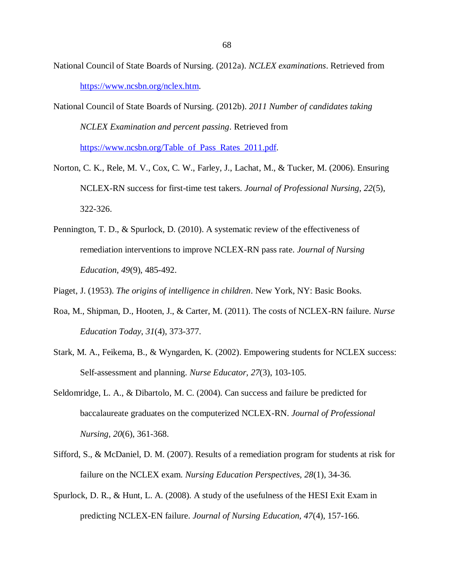- National Council of State Boards of Nursing. (2012a). *NCLEX examinations*. Retrieved from [https://www.ncsbn.org/nclex.htm.](https://www.ncsbn.org/nclex.htm)
- National Council of State Boards of Nursing. (2012b). *2011 Number of candidates taking NCLEX Examination and percent passing*. Retrieved from [https://www.ncsbn.org/Table\\_of\\_Pass\\_Rates\\_2011.pdf.](https://www.ncsbn.org/Table_of_Pass_Rates_2011.pdf)
- Norton, C. K., Rele, M. V., Cox, C. W., Farley, J., Lachat, M., & Tucker, M. (2006). Ensuring NCLEX-RN success for first-time test takers. *Journal of Professional Nursing, 22*(5), 322-326.
- Pennington, T. D., & Spurlock, D. (2010). A systematic review of the effectiveness of remediation interventions to improve NCLEX-RN pass rate. *Journal of Nursing Education, 49*(9), 485-492.
- Piaget, J. (1953). *The origins of intelligence in children*. New York, NY: Basic Books.
- Roa, M., Shipman, D., Hooten, J., & Carter, M. (2011). The costs of NCLEX-RN failure. *Nurse Education Today*, *31*(4), 373-377.
- Stark, M. A., Feikema, B., & Wyngarden, K. (2002). Empowering students for NCLEX success: Self-assessment and planning. *Nurse Educator, 27*(3), 103-105.
- Seldomridge, L. A., & Dibartolo, M. C. (2004). Can success and failure be predicted for baccalaureate graduates on the computerized NCLEX-RN. *Journal of Professional Nursing, 20*(6), 361-368.
- Sifford, S., & McDaniel, D. M. (2007). Results of a remediation program for students at risk for failure on the NCLEX exam. *Nursing Education Perspectives, 28*(1), 34-36.
- Spurlock, D. R., & Hunt, L. A. (2008). A study of the usefulness of the HESI Exit Exam in predicting NCLEX-EN failure. *Journal of Nursing Education, 47*(4), 157-166.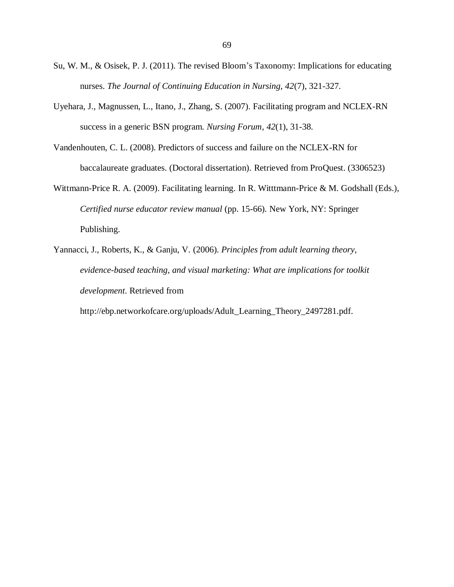- Su, W. M., & Osisek, P. J. (2011). The revised Bloom's Taxonomy: Implications for educating nurses. *The Journal of Continuing Education in Nursing, 42*(7), 321-327.
- Uyehara, J., Magnussen, L., Itano, J., Zhang, S. (2007). Facilitating program and NCLEX-RN success in a generic BSN program. *Nursing Forum*, *42*(1), 31-38.
- Vandenhouten, C. L. (2008). Predictors of success and failure on the NCLEX-RN for baccalaureate graduates. (Doctoral dissertation). Retrieved from ProQuest. (3306523)
- Wittmann-Price R. A. (2009). Facilitating learning. In R. Witttmann-Price & M. Godshall (Eds.), *Certified nurse educator review manual* (pp. 15-66)*.* New York, NY: Springer Publishing.
- Yannacci, J., Roberts, K., & Ganju, V. (2006). *Principles from adult learning theory, evidence-based teaching, and visual marketing: What are implications for toolkit development*. Retrieved from

http://ebp.networkofcare.org/uploads/Adult\_Learning\_Theory\_2497281.pdf.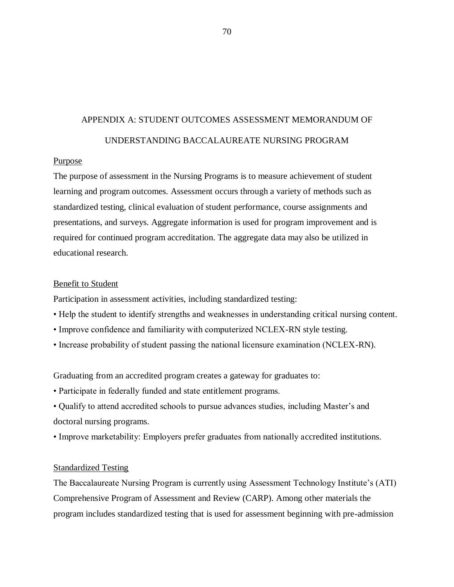# APPENDIX A: STUDENT OUTCOMES ASSESSMENT MEMORANDUM OF UNDERSTANDING BACCALAUREATE NURSING PROGRAM

### Purpose

The purpose of assessment in the Nursing Programs is to measure achievement of student learning and program outcomes. Assessment occurs through a variety of methods such as standardized testing, clinical evaluation of student performance, course assignments and presentations, and surveys. Aggregate information is used for program improvement and is required for continued program accreditation. The aggregate data may also be utilized in educational research.

### Benefit to Student

Participation in assessment activities, including standardized testing:

- Help the student to identify strengths and weaknesses in understanding critical nursing content.
- Improve confidence and familiarity with computerized NCLEX-RN style testing.
- Increase probability of student passing the national licensure examination (NCLEX-RN).

Graduating from an accredited program creates a gateway for graduates to:

- Participate in federally funded and state entitlement programs.
- Qualify to attend accredited schools to pursue advances studies, including Master's and doctoral nursing programs.
- Improve marketability: Employers prefer graduates from nationally accredited institutions.

### Standardized Testing

The Baccalaureate Nursing Program is currently using Assessment Technology Institute's (ATI) Comprehensive Program of Assessment and Review (CARP). Among other materials the program includes standardized testing that is used for assessment beginning with pre-admission